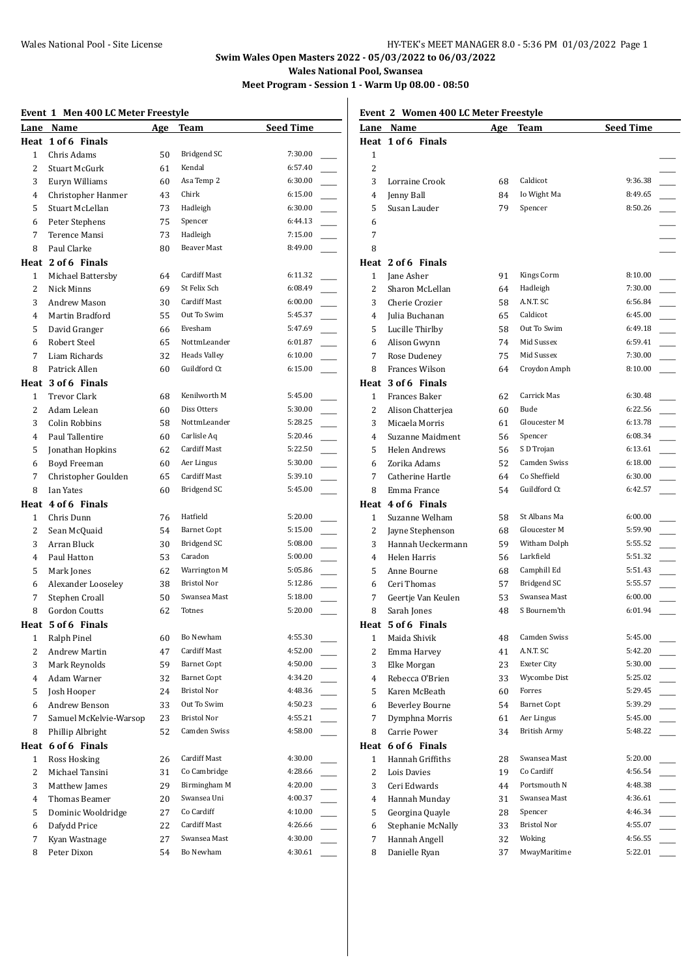# **Swim Wales Open Masters 2022 - 05/03/2022 to 06/03/2022 Wales National Pool, Swansea**

**Meet Program - Session 1 - Warm Up 08.00 - 08:50**

#### **Event 1 Men 400 LC Meter Freestyle**

| Lane           | Name                   | Age | <b>Team</b>         | <b>Seed Time</b> |  |
|----------------|------------------------|-----|---------------------|------------------|--|
|                | Heat 1 of 6 Finals     |     |                     |                  |  |
| $\mathbf{1}$   | Chris Adams            | 50  | Bridgend SC         | 7:30.00          |  |
| $\overline{2}$ | Stuart McGurk          | 61  | Kendal              | 6:57.40          |  |
| 3              | Euryn Williams         | 60  | Asa Temp 2          | 6:30.00          |  |
| 4              | Christopher Hanmer     | 43  | Chirk               | 6:15.00          |  |
| 5              | Stuart McLellan        | 73  | Hadleigh            | 6:30.00          |  |
| 6              | Peter Stephens         | 75  | Spencer             | 6:44.13          |  |
| 7              | Terence Mansi          | 73  | Hadleigh            | 7:15.00          |  |
| 8              | Paul Clarke            | 80  | <b>Beaver Mast</b>  | 8:49.00          |  |
|                | Heat 2 of 6 Finals     |     |                     |                  |  |
| 1              | Michael Battersby      | 64  | Cardiff Mast        | 6:11.32          |  |
| 2              | Nick Minns             | 69  | St Felix Sch        | 6:08.49          |  |
| 3              | Andrew Mason           | 30  | <b>Cardiff Mast</b> | 6:00.00          |  |
| $\overline{4}$ | Martin Bradford        | 55  | Out To Swim         | 5:45.37          |  |
| 5              | David Granger          | 66  | Evesham             | 5:47.69          |  |
| 6              | Robert Steel           | 65  | NottmLeander        | 6:01.87          |  |
| 7              | Liam Richards          | 32  | <b>Heads Valley</b> | 6:10.00          |  |
| 8              | Patrick Allen          | 60  | Guildford Ct        | 6:15.00          |  |
|                | Heat 3 of 6 Finals     |     |                     |                  |  |
| $\mathbf{1}$   | <b>Trevor Clark</b>    | 68  | Kenilworth M        | 5:45.00          |  |
| $\overline{2}$ | Adam Lelean            | 60  | Diss Otters         | 5:30.00          |  |
| 3              | Colin Robbins          | 58  | NottmLeander        | 5:28.25          |  |
| 4              | Paul Tallentire        | 60  | Carlisle Aq         | 5:20.46          |  |
| 5              | Jonathan Hopkins       | 62  | Cardiff Mast        | 5:22.50          |  |
| 6              | Boyd Freeman           | 60  | Aer Lingus          | 5:30.00          |  |
| 7              | Christopher Goulden    | 65  | Cardiff Mast        | 5:39.10          |  |
| 8              | Ian Yates              | 60  | Bridgend SC         | 5:45.00          |  |
|                | Heat 4 of 6 Finals     |     |                     |                  |  |
| $\mathbf{1}$   | Chris Dunn             | 76  | Hatfield            | 5:20.00          |  |
| 2              | Sean McQuaid           | 54  | <b>Barnet Copt</b>  | 5:15.00          |  |
| 3              | Arran Bluck            | 30  | <b>Bridgend SC</b>  | 5:08.00          |  |
| 4              | Paul Hatton            | 53  | Caradon             | 5:00.00          |  |
| 5              | Mark Jones             | 62  | Warrington M        | 5:05.86          |  |
| 6              | Alexander Looseley     | 38  | <b>Bristol Nor</b>  | 5:12.86          |  |
| 7              | Stephen Croall         | 50  | Swansea Mast        | 5:18.00          |  |
| 8              | <b>Gordon Coutts</b>   | 62  | Totnes              | 5:20.00          |  |
|                | Heat 5 of 6 Finals     |     |                     |                  |  |
| 1              | Ralph Pinel            | 60  | Bo Newham           | 4:55.30          |  |
| 2              | Andrew Martin          | 47  | Cardiff Mast        | 4:52.00          |  |
| 3              | Mark Reynolds          | 59  | <b>Barnet Copt</b>  | 4:50.00          |  |
| 4              | Adam Warner            | 32  | <b>Barnet Copt</b>  | 4:34.20          |  |
| 5              | Josh Hooper            | 24  | <b>Bristol Nor</b>  | 4:48.36          |  |
| 6              | Andrew Benson          | 33  | Out To Swim         | 4:50.23          |  |
| 7              | Samuel McKelvie-Warsop | 23  | Bristol Nor         | 4:55.21          |  |
| 8              | Phillip Albright       | 52  | Camden Swiss        | 4:58.00          |  |
|                | Heat 6 of 6 Finals     |     |                     |                  |  |
| 1              | Ross Hosking           | 26  | Cardiff Mast        | 4:30.00          |  |
| 2              | Michael Tansini        | 31  | Co Cambridge        | 4:28.66          |  |
| 3              | Matthew James          | 29  | Birmingham M        | 4:20.00          |  |
| 4              | Thomas Beamer          | 20  | Swansea Uni         | 4:00.37          |  |
| 5              | Dominic Wooldridge     | 27  | Co Cardiff          | 4:10.00          |  |
| 6              | Dafydd Price           | 22  | Cardiff Mast        | 4:26.66          |  |
| 7              | Kyan Wastnage          | 27  | Swansea Mast        | 4:30.00          |  |
| 8              | Peter Dixon            | 54  | Bo Newham           | 4:30.61          |  |

**Event 2 Women 400 LC Meter Freestyle**

| Lane         | Name                            | <u>Age</u> | Team                | <b>Seed Time</b> |                          |
|--------------|---------------------------------|------------|---------------------|------------------|--------------------------|
|              | Heat 1 of 6 Finals              |            |                     |                  |                          |
| 1            |                                 |            |                     |                  |                          |
| 2            |                                 |            |                     |                  |                          |
| 3            | Lorraine Crook                  | 68         | Caldicot            | 9:36.38          |                          |
| 4            | Jenny Ball                      | 84         | Io Wight Ma         | 8:49.65          |                          |
| 5            | Susan Lauder                    | 79         | Spencer             | 8:50.26          |                          |
| 6            |                                 |            |                     |                  |                          |
| 7            |                                 |            |                     |                  |                          |
| 8            |                                 |            |                     |                  |                          |
|              | Heat 2 of 6 Finals              |            |                     |                  |                          |
| 1            | Jane Asher                      | 91         | Kings Corm          | 8:10.00          |                          |
| 2            | Sharon McLellan                 | 64         | Hadleigh            | 7:30.00          |                          |
| 3            | Cherie Crozier                  | 58         | A.N.T. SC           | 6:56.84          |                          |
| 4            | Julia Buchanan                  | 65         | Caldicot            | 6:45.00          |                          |
| 5            | Lucille Thirlby                 | 58         | Out To Swim         | 6:49.18          |                          |
| 6            | Alison Gwynn                    | 74         | Mid Sussex          | 6:59.41          |                          |
| 7            | Rose Dudeney                    | 75         | Mid Sussex          | 7:30.00          |                          |
| 8            | <b>Frances Wilson</b>           | 64         | Croydon Amph        | 8:10.00          |                          |
|              | Heat 3 of 6 Finals              |            |                     |                  |                          |
| 1            | <b>Frances Baker</b>            | 62         | Carrick Mas         | 6:30.48          |                          |
| 2            | Alison Chatterjea               | 60         | Bude                | 6:22.56          |                          |
| 3            | Micaela Morris                  | 61         | Gloucester M        | 6:13.78          |                          |
| 4            | Suzanne Maidment                | 56         | Spencer             | 6:08.34          |                          |
| 5            | Helen Andrews                   | 56         | S D Trojan          | 6:13.61          |                          |
| 6            | Zorika Adams                    | 52         | Camden Swiss        | 6:18.00          |                          |
| 7            |                                 | 64         | Co Sheffield        | 6:30.00          |                          |
| 8            | Catherine Hartle<br>Emma France | 54         | Guildford Ct        | 6:42.57          |                          |
|              |                                 |            |                     |                  |                          |
|              | Heat 4 of 6 Finals              |            | St Albans Ma        |                  |                          |
| $\mathbf{1}$ | Suzanne Welham                  | 58         | Gloucester M        | 6:00.00          |                          |
| 2            | Jayne Stephenson                | 68         |                     | 5:59.90          |                          |
| 3            | Hannah Ueckermann               | 59         | Witham Dolph        | 5:55.52          |                          |
| 4            | Helen Harris                    | 56         | Larkfield           | 5:51.32          |                          |
| 5            | Anne Bourne                     | 68         | Camphill Ed         | 5:51.43          |                          |
| 6            | Ceri Thomas                     | 57         | <b>Bridgend SC</b>  | 5:55.57          |                          |
| 7            | Geertje Van Keulen              | 53         | Swansea Mast        | 6:00.00          |                          |
| 8            | Sarah Jones                     | 48         | S Bournem'th        | 6:01.94          |                          |
| Heat         | 5 of 6 Finals                   |            |                     |                  |                          |
| 1            | Maida Shivik                    | 48         | Camden Swiss        | 5:45.00          |                          |
| 2            | Emma Harvey                     | 41         | A.N.T. SC           | 5:42.20          |                          |
| 3            | Elke Morgan                     | 23         | <b>Exeter City</b>  | 5:30.00          |                          |
| 4            | Rebecca O'Brien                 | 33         | Wycombe Dist        | 5:25.02          |                          |
| 5            | Karen McBeath                   | 60         | Forres              | 5:29.45          |                          |
| 6            | <b>Beverley Bourne</b>          | 54         | <b>Barnet Copt</b>  | 5:39.29          |                          |
| 7            | Dymphna Morris                  | 61         | Aer Lingus          | 5:45.00          |                          |
| 8            | Carrie Power                    | 34         | <b>British Army</b> | 5:48.22          |                          |
|              | Heat 6 of 6 Finals              |            |                     |                  |                          |
| $\mathbf{1}$ | Hannah Griffiths                | 28         | Swansea Mast        | 5:20.00          |                          |
| 2            | Lois Davies                     | 19         | Co Cardiff          | 4:56.54          |                          |
| 3            | Ceri Edwards                    | 44         | Portsmouth N        | 4:48.38          | $\overline{\phantom{0}}$ |
| 4            | Hannah Munday                   | 31         | Swansea Mast        | 4:36.61          | $\overline{\phantom{a}}$ |
| 5            | Georgina Quayle                 | 28         | Spencer             | 4:46.34          | $\overline{\phantom{a}}$ |
| 6            | Stephanie McNally               | 33         | <b>Bristol Nor</b>  | 4:55.07          | $\overline{\phantom{0}}$ |
| 7            | Hannah Angell                   | 32         | Woking              | 4:56.55          |                          |
| 8            | Danielle Ryan                   | 37         | MwayMaritime        | 5:22.01          |                          |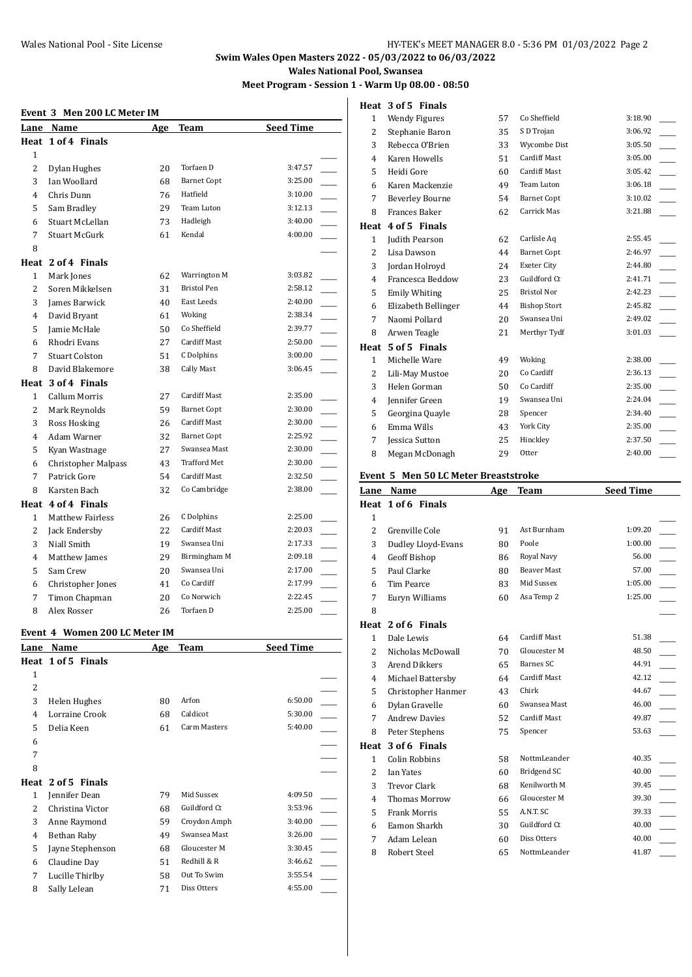## **Swim Wales Open Masters 2022 - 05/03/2022 to 06/03/2022 Wales National Pool, Swansea**

**Meet Program - Session 1 - Warm Up 08.00 - 08:50**

#### **Event 3 Men 200 LC Meter IM**

| Lane           | Name                       | Age | Team                | <b>Seed Time</b>                    |
|----------------|----------------------------|-----|---------------------|-------------------------------------|
|                | Heat 1 of 4 Finals         |     |                     |                                     |
| 1              |                            |     |                     |                                     |
| $\overline{c}$ | Dylan Hughes               | 20  | Torfaen D           | 3:47.57                             |
| 3              | Ian Woollard               | 68  | <b>Barnet Copt</b>  | 3:25.00                             |
| 4              | Chris Dunn                 | 76  | Hatfield            | 3:10.00                             |
| 5              | Sam Bradley                | 29  | Team Luton          | 3:12.13                             |
| 6              | Stuart McLellan            | 73  | Hadleigh            | 3:40.00                             |
| 7              | Stuart McGurk              | 61  | Kendal              | 4:00.00                             |
| 8              |                            |     |                     |                                     |
|                | Heat 2 of 4 Finals         |     |                     |                                     |
| 1              | Mark Jones                 | 62  | Warrington M        | 3:03.82                             |
| $\overline{2}$ | Soren Mikkelsen            | 31  | <b>Bristol Pen</b>  | 2:58.12                             |
| 3              | James Barwick              | 40  | East Leeds          | $\overline{a}$<br>2:40.00           |
| 4              | David Bryant               | 61  | Woking              | $\overline{\phantom{a}}$<br>2:38.34 |
| 5              | Jamie McHale               | 50  | Co Sheffield        | $\overline{a}$<br>2:39.77           |
| 6              | Rhodri Evans               | 27  | Cardiff Mast        | $\overline{a}$<br>2:50.00           |
| 7              | <b>Stuart Colston</b>      | 51  | C Dolphins          | 3:00.00                             |
| 8              | David Blakemore            | 38  | Cally Mast          | 3:06.45                             |
|                | Heat 3 of 4 Finals         |     |                     |                                     |
| $\mathbf{1}$   | <b>Callum Morris</b>       | 27  | <b>Cardiff Mast</b> | 2:35.00                             |
| $\overline{c}$ | Mark Reynolds              | 59  | <b>Barnet Copt</b>  | $\overline{a}$<br>2:30.00           |
| 3              | Ross Hosking               | 26  | Cardiff Mast        | $\overline{\phantom{a}}$<br>2:30.00 |
| $\overline{4}$ | Adam Warner                | 32  | <b>Barnet Copt</b>  | $\overline{\phantom{a}}$<br>2:25.92 |
| 5              | Kyan Wastnage              | 27  | Swansea Mast        | 2:30.00                             |
| 6              | <b>Christopher Malpass</b> | 43  | <b>Trafford Met</b> | 2:30.00                             |
| 7              | Patrick Gore               | 54  | <b>Cardiff Mast</b> | 2:32.50                             |
| 8              | Karsten Bach               | 32  | Co Cambridge        | 2:38.00                             |
| Heat           | 4 of 4 Finals              |     |                     |                                     |
| 1              | <b>Matthew Fairless</b>    | 26  | C Dolphins          | 2:25.00                             |
| $\overline{2}$ | Jack Endersby              | 22  | <b>Cardiff Mast</b> | 2:20.03                             |
| 3              | Niall Smith                | 19  | Swansea Uni         | 2:17.33                             |
| 4              | Matthew James              | 29  | Birmingham M        | 2:09.18                             |
| 5              | Sam Crew                   | 20  | Swansea Uni         | 2:17.00                             |
| 6              | Christopher Jones          | 41  | Co Cardiff          | 2:17.99                             |
| 7              | Timon Chapman              | 20  | Co Norwich          | 2:22.45                             |
| 8              | Alex Rosser                | 26  | Torfaen D           | 2:25.00                             |

#### **Event 4 Women 200 LC Meter IM**

| Lane                     | Name               | Age | Team         | <b>Seed Time</b> |  |
|--------------------------|--------------------|-----|--------------|------------------|--|
|                          | Heat 1 of 5 Finals |     |              |                  |  |
| 1                        |                    |     |              |                  |  |
| 2                        |                    |     |              |                  |  |
| 3                        | Helen Hughes       | 80  | Arfon        | 6:50.00          |  |
| 4                        | Lorraine Crook     | 68  | Caldicot     | 5:30.00          |  |
| 5                        | Delia Keen         | 61  | Carm Masters | 5:40.00          |  |
| 6                        |                    |     |              |                  |  |
| 7                        |                    |     |              |                  |  |
| 8                        |                    |     |              |                  |  |
|                          | Heat 2 of 5 Finals |     |              |                  |  |
| 1                        | Jennifer Dean      | 79  | Mid Sussex   | 4:09.50          |  |
| $\overline{\mathcal{L}}$ | Christina Victor   | 68  | Guildford Ct | 3:53.96          |  |
| 3                        | Anne Raymond       | 59  | Croydon Amph | 3:40.00          |  |
| 4                        | Bethan Raby        | 49  | Swansea Mast | 3:26.00          |  |
| 5                        | Jayne Stephenson   | 68  | Gloucester M | 3:30.45          |  |
| 6                        | Claudine Day       | 51  | Redhill & R  | 3:46.62          |  |
| 7                        | Lucille Thirlby    | 58  | Out To Swim  | 3:55.54          |  |
| 8                        | Sally Lelean       | 71  | Diss Otters  | 4:55.00          |  |
|                          |                    |     |              |                  |  |

|                | Heat 3 of 5 Finals     |    |                     |         |
|----------------|------------------------|----|---------------------|---------|
| $\mathbf{1}$   | <b>Wendy Figures</b>   | 57 | Co Sheffield        | 3:18.90 |
| 2              | Stephanie Baron        | 35 | S D Trojan          | 3:06.92 |
| 3              | Rebecca O'Brien        | 33 | Wycombe Dist        | 3:05.50 |
| 4              | <b>Karen Howells</b>   | 51 | <b>Cardiff Mast</b> | 3:05.00 |
| 5              | Heidi Gore             | 60 | <b>Cardiff Mast</b> | 3:05.42 |
| 6              | Karen Mackenzie        | 49 | Team Luton          | 3:06.18 |
| 7              | <b>Beverley Bourne</b> | 54 | <b>Barnet Copt</b>  | 3:10.02 |
| 8              | <b>Frances Baker</b>   | 62 | Carrick Mas         | 3:21.88 |
| Heat           | 4 of 5 Finals          |    |                     |         |
| $\mathbf{1}$   | Judith Pearson         | 62 | Carlisle Aq         | 2:55.45 |
| 2              | Lisa Dawson            | 44 | <b>Barnet Copt</b>  | 2:46.97 |
| 3              | Jordan Holroyd         | 24 | Exeter City         | 2:44.80 |
| $\overline{4}$ | Francesca Beddow       | 23 | Guildford Ct        | 2:41.71 |
| 5              | <b>Emily Whiting</b>   | 25 | <b>Bristol Nor</b>  | 2:42.23 |
| 6              | Elizabeth Bellinger    | 44 | <b>Bishop Stort</b> | 2:45.82 |
| 7              | Naomi Pollard          | 20 | Swansea Uni         | 2:49.02 |
| 8              | Arwen Teagle           | 21 | Merthyr Tydf        | 3:01.03 |
| Heat           | 5 of 5 Finals          |    |                     |         |
| $\mathbf{1}$   | Michelle Ware          | 49 | Woking              | 2:38.00 |
| 2              | Lili-May Mustoe        | 20 | Co Cardiff          | 2:36.13 |
| 3              | Helen Gorman           | 50 | Co Cardiff          | 2:35.00 |
| 4              | Jennifer Green         | 19 | Swansea Uni         | 2:24.04 |
| 5              | Georgina Quayle        | 28 | Spencer             | 2:34.40 |
| 6              | Emma Wills             | 43 | York City           | 2:35.00 |
| 7              | <b>Jessica Sutton</b>  | 25 | Hinckley            | 2:37.50 |
| 8              | Megan McDonagh         | 29 | Otter               | 2:40.00 |

#### **Event 5 Men 50 LC Meter Breaststroke**

| Lane           | Name                 | Age | Team                | <b>Seed Time</b> |
|----------------|----------------------|-----|---------------------|------------------|
|                | Heat 1 of 6 Finals   |     |                     |                  |
| $\mathbf{1}$   |                      |     |                     |                  |
| $\overline{c}$ | Grenville Cole       | 91  | Ast Burnham         | 1:09.20          |
| 3              | Dudley Lloyd-Evans   | 80  | Poole               | 1:00.00          |
| 4              | Geoff Bishop         | 86  | Royal Navy          | 56.00            |
| 5              | Paul Clarke          | 80  | <b>Beaver Mast</b>  | 57.00            |
| 6              | Tim Pearce           | 83  | Mid Sussex          | 1:05.00          |
| 7              | Euryn Williams       | 60  | Asa Temp 2          | 1:25.00          |
| 8              |                      |     |                     |                  |
|                | Heat 2 of 6 Finals   |     |                     |                  |
| $\mathbf{1}$   | Dale Lewis           | 64  | <b>Cardiff Mast</b> | 51.38            |
| 2              | Nicholas McDowall    | 70  | Gloucester M        | 48.50            |
| 3              | <b>Arend Dikkers</b> | 65  | <b>Barnes SC</b>    | 44.91            |
| 4              | Michael Battersby    | 64  | <b>Cardiff Mast</b> | 42.12            |
| 5              | Christopher Hanmer   | 43  | Chirk               | 44.67            |
| 6              | Dylan Gravelle       | 60  | Swansea Mast        | 46.00            |
| 7              | <b>Andrew Davies</b> | 52  | <b>Cardiff Mast</b> | 49.87            |
| 8              | Peter Stephens       | 75  | Spencer             | 53.63            |
| Heat           | 3 of 6 Finals        |     |                     |                  |
| $\mathbf{1}$   | Colin Robbins        | 58  | NottmLeander        | 40.35            |
| 2              | <b>Ian Yates</b>     | 60  | Bridgend SC         | 40.00            |
| 3              | <b>Trevor Clark</b>  | 68  | Kenilworth M        | 39.45            |
| 4              | <b>Thomas Morrow</b> | 66  | Gloucester M        | 39.30            |
| 5              | <b>Frank Morris</b>  | 55  | A.N.T. SC           | 39.33            |
| 6              | Eamon Sharkh         | 30  | Guildford Ct        | 40.00            |
| 7              | Adam Lelean          | 60  | Diss Otters         | 40.00            |
| 8              | Robert Steel         | 65  | NottmLeander        | 41.87            |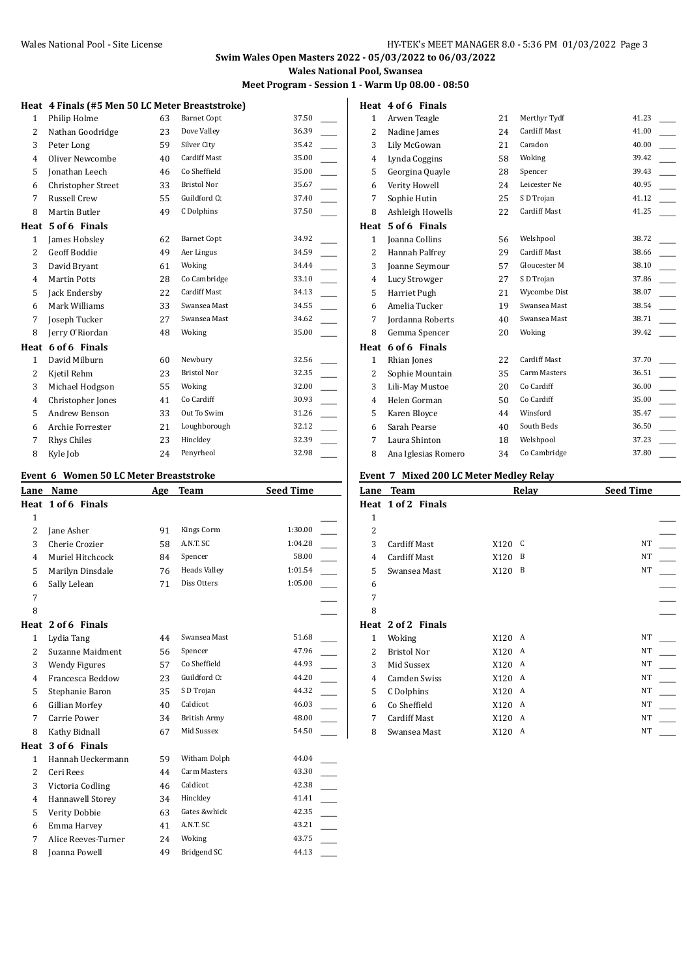## **Swim Wales Open Masters 2022 - 05/03/2022 to 06/03/2022 Wales National Pool, Swansea**

**Meet Program - Session 1 - Warm Up 08.00 - 08:50**

|                | Heat 4 Finals (#5 Men 50 LC Meter Breaststroke) |    |                     |       |
|----------------|-------------------------------------------------|----|---------------------|-------|
| $\mathbf{1}$   | Philip Holme                                    | 63 | <b>Barnet Copt</b>  | 37.50 |
| 2              | Nathan Goodridge                                | 23 | Dove Valley         | 36.39 |
| 3              | Peter Long                                      | 59 | Silver City         | 35.42 |
| $\overline{4}$ | Oliver Newcombe                                 | 40 | <b>Cardiff Mast</b> | 35.00 |
| 5              | Jonathan Leech                                  | 46 | Co Sheffield        | 35.00 |
| 6              | Christopher Street                              | 33 | <b>Bristol Nor</b>  | 35.67 |
| 7              | Russell Crew                                    | 55 | Guildford Ct        | 37.40 |
| 8              | Martin Butler                                   | 49 | C Dolphins          | 37.50 |
| Heat           | 5 of 6 Finals                                   |    |                     |       |
| $\mathbf{1}$   | James Hobsley                                   | 62 | <b>Barnet Copt</b>  | 34.92 |
| 2              | <b>Geoff Boddie</b>                             | 49 | Aer Lingus          | 34.59 |
| 3              | David Bryant                                    | 61 | Woking              | 34.44 |
| 4              | <b>Martin Potts</b>                             | 28 | Co Cambridge        | 33.10 |
| 5              | Jack Endersby                                   | 22 | <b>Cardiff Mast</b> | 34.13 |
| 6              | Mark Williams                                   | 33 | Swansea Mast        | 34.55 |
| 7              | Joseph Tucker                                   | 27 | Swansea Mast        | 34.62 |
| 8              | Jerry O'Riordan                                 | 48 | Woking              | 35.00 |
| Heat           | 6 of 6 Finals                                   |    |                     |       |
| $\mathbf{1}$   | David Milburn                                   | 60 | Newbury             | 32.56 |
| 2              | Kjetil Rehm                                     | 23 | <b>Bristol Nor</b>  | 32.35 |
| 3              | Michael Hodgson                                 | 55 | Woking              | 32.00 |
| 4              | Christopher Jones                               | 41 | Co Cardiff          | 30.93 |
| 5              | Andrew Benson                                   | 33 | Out To Swim         | 31.26 |
| 6              | Archie Forrester                                | 21 | Loughborough        | 32.12 |
| 7              | Rhys Chiles                                     | 23 | Hinckley            | 32.39 |
| 8              | Kyle Job                                        | 24 | Penyrheol           | 32.98 |

#### **Event 6 Women 50 LC Meter Breaststroke**

| Lane           | Name                 | Age | <b>Team</b>         | <b>Seed Time</b>                  |
|----------------|----------------------|-----|---------------------|-----------------------------------|
|                | Heat 1 of 6 Finals   |     |                     |                                   |
| $\mathbf{1}$   |                      |     |                     |                                   |
| 2              | Jane Asher           | 91  | Kings Corm          | 1:30.00                           |
| 3              | Cherie Crozier       | 58  | A.N.T. SC           | 1:04.28                           |
| 4              | Muriel Hitchcock     | 84  | Spencer             | 58.00                             |
| 5              | Marilyn Dinsdale     | 76  | <b>Heads Valley</b> | 1:01.54                           |
| 6              | Sally Lelean         | 71  | Diss Otters         | 1:05.00                           |
| 7              |                      |     |                     |                                   |
| 8              |                      |     |                     |                                   |
|                | Heat 2 of 6 Finals   |     |                     |                                   |
| $\mathbf{1}$   | Lydia Tang           | 44  | Swansea Mast        | 51.68                             |
| 2              | Suzanne Maidment     | 56  | Spencer             | 47.96                             |
| 3              | <b>Wendy Figures</b> | 57  | Co Sheffield        | $\overline{\phantom{a}}$<br>44.93 |
| 4              | Francesca Beddow     | 23  | Guildford Ct        | 44.20                             |
| 5              | Stephanie Baron      | 35  | S D Trojan          | 44.32                             |
| 6              | Gillian Morfey       | 40  | Caldicot            | 46.03                             |
| 7              | Carrie Power         | 34  | <b>British Army</b> | 48.00                             |
| 8              | Kathy Bidnall        | 67  | Mid Sussex          | 54.50                             |
|                | Heat 3 of 6 Finals   |     |                     |                                   |
| $\mathbf{1}$   | Hannah Ueckermann    | 59  | Witham Dolph        | 44.04                             |
| $\overline{2}$ | Ceri Rees            | 44  | Carm Masters        | 43.30                             |
| 3              | Victoria Codling     | 46  | Caldicot            | 42.38                             |
| 4              | Hannawell Storey     | 34  | Hinckley            | 41.41                             |
| 5              | Verity Dobbie        | 63  | Gates &whick        | 42.35                             |
| 6              | Emma Harvey          | 41  | A.N.T. SC           | 43.21                             |
| 7              | Alice Reeves-Turner  | 24  | Woking              | 43.75                             |
| 8              | Joanna Powell        | 49  | Bridgend SC         | 44.13                             |
|                |                      |     |                     |                                   |

#### **Heat 4 of 6 Finals**

| $\mathbf{1}$ | Arwen Teagle          | 21 | Merthyr Tydf        | 41.23 |
|--------------|-----------------------|----|---------------------|-------|
| 2            | Nadine James          | 24 | Cardiff Mast        | 41.00 |
| 3            | Lily McGowan          | 21 | Caradon             | 40.00 |
| 4            | Lynda Coggins         | 58 | Woking              | 39.42 |
| 5            | Georgina Quayle       | 28 | Spencer             | 39.43 |
| 6            | Verity Howell         | 24 | Leicester Ne        | 40.95 |
| 7            | Sophie Hutin          | 25 | S D Trojan          | 41.12 |
| 8            | Ashleigh Howells      | 22 | Cardiff Mast        | 41.25 |
| Heat         | 5 of 6 Finals         |    |                     |       |
| $\mathbf{1}$ | <b>Joanna Collins</b> | 56 | Welshpool           | 38.72 |
| 2            | Hannah Palfrey        | 29 | <b>Cardiff Mast</b> | 38.66 |
| 3            | Joanne Seymour        | 57 | Gloucester M        | 38.10 |
| 4            | Lucy Strowger         | 27 | S D Trojan          | 37.86 |
| 5            | Harriet Pugh          | 21 | Wycombe Dist        | 38.07 |
| 6            | Amelia Tucker         | 19 | Swansea Mast        | 38.54 |
| 7            | Jordanna Roberts      | 40 | Swansea Mast        | 38.71 |
| 8            | Gemma Spencer         | 20 | Woking              | 39.42 |
| Heat         | 6 of 6 Finals         |    |                     |       |
| $\mathbf{1}$ | Rhian Jones           | 22 | <b>Cardiff Mast</b> | 37.70 |
| 2            | Sophie Mountain       | 35 | Carm Masters        | 36.51 |
| 3            | Lili-May Mustoe       | 20 | Co Cardiff          | 36.00 |
| 4            | Helen Gorman          | 50 | Co Cardiff          | 35.00 |
| 5            | Karen Bloyce          | 44 | Winsford            | 35.47 |
| 6            | Sarah Pearse          | 40 | South Beds          | 36.50 |
| 7            | Laura Shinton         | 18 | Welshpool           | 37.23 |
| 8            | Ana Iglesias Romero   | 34 | Co Cambridge        | 37.80 |

#### **Event 7 Mixed 200 LC Meter Medley Relay**

|              | LVCHU / MIACU 200 LC MCCCI MCUICY RCIAY |           |                  |
|--------------|-----------------------------------------|-----------|------------------|
| Lane         | <b>Team</b>                             | Relay     | <b>Seed Time</b> |
|              | Heat 1 of 2 Finals                      |           |                  |
| $\mathbf{1}$ |                                         |           |                  |
| 2            |                                         |           |                  |
| 3            | Cardiff Mast                            | X120<br>C | <b>NT</b>        |
| 4            | Cardiff Mast                            | B<br>X120 | NT               |
| 5            | Swansea Mast                            | B<br>X120 | NT               |
| 6            |                                         |           |                  |
| 7            |                                         |           |                  |
| 8            |                                         |           |                  |
|              | Heat 2 of 2 Finals                      |           |                  |
| $\mathbf{1}$ | Woking                                  | X120<br>A | NT               |
| 2            | <b>Bristol Nor</b>                      | X120<br>A | NT               |
| 3            | Mid Sussex                              | X120<br>A | NT               |
| 4            | Camden Swiss                            | X120<br>A | NT               |
| 5            | C Dolphins                              | X120<br>A | NT               |
| 6            | Co Sheffield                            | X120<br>A | NT               |
| 7            | <b>Cardiff Mast</b>                     | X120<br>A | NT               |
| 8            | Swansea Mast                            | X120<br>A | NT               |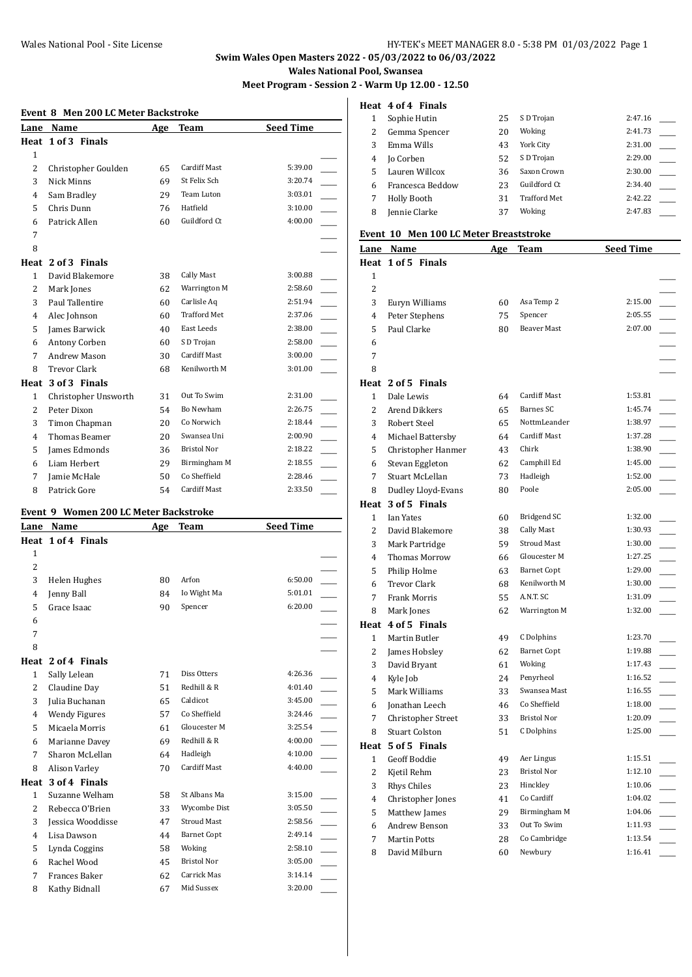## **Swim Wales Open Masters 2022 - 05/03/2022 to 06/03/2022 Wales National Pool, Swansea**

**Meet Program - Session 2 - Warm Up 12.00 - 12.50**

#### **Event 8 Men 200 LC Meter Backstroke**

| Lane           | Name                 | Age | Team                | <b>Seed Time</b> |
|----------------|----------------------|-----|---------------------|------------------|
|                | Heat 1 of 3 Finals   |     |                     |                  |
| $\mathbf{1}$   |                      |     |                     |                  |
| 2              | Christopher Goulden  | 65  | <b>Cardiff Mast</b> | 5:39.00          |
| 3              | Nick Minns           | 69  | St Felix Sch        | 3:20.74          |
| 4              | Sam Bradley          | 29  | Team Luton          | 3:03.01          |
| 5              | Chris Dunn           | 76  | Hatfield            | 3:10.00          |
| 6              | Patrick Allen        | 60  | Guildford Ct        | 4:00.00          |
| 7              |                      |     |                     |                  |
| 8              |                      |     |                     |                  |
| Heat           | 2 of 3 Finals        |     |                     |                  |
| 1              | David Blakemore      | 38  | Cally Mast          | 3:00.88          |
| $\overline{c}$ | Mark Jones           | 62  | Warrington M        | 2:58.60          |
| 3              | Paul Tallentire      | 60  | Carlisle Aq         | 2:51.94          |
| 4              | Alec Johnson         | 60  | <b>Trafford Met</b> | 2:37.06          |
| 5              | James Barwick        | 40  | East Leeds          | 2:38.00          |
| 6              | Antony Corben        | 60  | S D Trojan          | 2:58.00          |
| 7              | Andrew Mason         | 30  | <b>Cardiff Mast</b> | 3:00.00          |
| 8              | <b>Trevor Clark</b>  | 68  | Kenilworth M        | 3:01.00          |
| Heat           | 3 of 3 Finals        |     |                     |                  |
| 1              | Christopher Unsworth | 31  | Out To Swim         | 2:31.00          |
| 2              | Peter Dixon          | 54  | Bo Newham           | 2:26.75          |
| 3              | Timon Chapman        | 20  | Co Norwich          | 2:18.44          |
| 4              | Thomas Beamer        | 20  | Swansea Uni         | 2:00.90          |
| 5              | James Edmonds        | 36  | <b>Bristol Nor</b>  | 2:18.22          |
| 6              | Liam Herbert         | 29  | Birmingham M        | 2:18.55          |
| 7              | Jamie McHale         | 50  | Co Sheffield        | 2:28.46          |
| 8              | Patrick Gore         | 54  | <b>Cardiff Mast</b> | 2:33.50          |

#### **Event 9 Women 200 LC Meter Backstroke**

| Lane           | Name                 | Age | <b>Team</b>         | <b>Seed Time</b> |
|----------------|----------------------|-----|---------------------|------------------|
|                | Heat 1 of 4 Finals   |     |                     |                  |
| $\mathbf{1}$   |                      |     |                     |                  |
| 2              |                      |     |                     |                  |
| 3              | Helen Hughes         | 80  | Arfon               | 6:50.00          |
| 4              | Jenny Ball           | 84  | Io Wight Ma         | 5:01.01          |
| 5              | Grace Isaac          | 90  | Spencer             | 6:20.00          |
| 6              |                      |     |                     |                  |
| 7              |                      |     |                     |                  |
| 8              |                      |     |                     |                  |
| Heat           | 2 of 4 Finals        |     |                     |                  |
| $\mathbf{1}$   | Sally Lelean         | 71  | Diss Otters         | 4:26.36          |
| 2              | Claudine Day         | 51  | Redhill & R         | 4:01.40          |
| 3              | Julia Buchanan       | 65  | Caldicot            | 3:45.00          |
| 4              | <b>Wendy Figures</b> | 57  | Co Sheffield        | 3:24.46          |
| 5              | Micaela Morris       | 61  | Gloucester M        | 3:25.54          |
| 6              | Marianne Davey       | 69  | Redhill & R         | 4:00.00          |
| 7              | Sharon McLellan      | 64  | Hadleigh            | 4:10.00          |
| 8              | Alison Varley        | 70  | <b>Cardiff Mast</b> | 4:40.00          |
| Heat           | 3 of 4 Finals        |     |                     |                  |
| $\mathbf{1}$   | Suzanne Welham       | 58  | St Albans Ma        | 3:15.00          |
| $\overline{2}$ | Rebecca O'Brien      | 33  | Wycombe Dist        | 3:05.50          |
| 3              | Jessica Wooddisse    | 47  | <b>Stroud Mast</b>  | 2:58.56          |
| 4              | Lisa Dawson          | 44  | <b>Barnet Copt</b>  | 2:49.14          |
| 5              | Lynda Coggins        | 58  | Woking              | 2:58.10          |
| 6              | Rachel Wood          | 45  | <b>Bristol Nor</b>  | 3:05.00          |
| 7              | <b>Frances Baker</b> | 62  | Carrick Mas         | 3:14.14          |
| 8              | Kathy Bidnall        | 67  | Mid Sussex          | 3:20.00          |

#### **Heat 4 of 4 Finals**

|   | Sophie Hutin     | 25 | S D Trojan          | 2:47.16 |
|---|------------------|----|---------------------|---------|
|   | Gemma Spencer    | 20 | Woking              | 2:41.73 |
|   | Emma Wills       | 43 | York City           | 2:31.00 |
| 4 | Jo Corben        | 52 | S D Trojan          | 2:29.00 |
| 5 | Lauren Willcox   | 36 | Saxon Crown         | 2:30.00 |
| 6 | Francesca Beddow | 23 | Guildford Ct        | 2:34.40 |
|   | Holly Booth      | 31 | <b>Trafford Met</b> | 2:42.22 |
| 8 | Jennie Clarke    | 37 | Woking              | 2:47.83 |

## **Event 10 Men 100 LC Meter Breaststroke**

|              | Lane Name             | Age | <b>Team</b>         | <b>Seed Time</b> |  |
|--------------|-----------------------|-----|---------------------|------------------|--|
|              | Heat 1 of 5 Finals    |     |                     |                  |  |
| 1            |                       |     |                     |                  |  |
| 2            |                       |     |                     |                  |  |
| 3            | Euryn Williams        | 60  | Asa Temp 2          | 2:15.00          |  |
| 4            | Peter Stephens        | 75  | Spencer             | 2:05.55          |  |
| 5            | Paul Clarke           | 80  | Beaver Mast         | 2:07.00          |  |
| 6            |                       |     |                     |                  |  |
| 7            |                       |     |                     |                  |  |
| 8            |                       |     |                     |                  |  |
|              | Heat 2 of 5 Finals    |     |                     |                  |  |
| 1            | Dale Lewis            | 64  | <b>Cardiff Mast</b> | 1:53.81          |  |
| 2            | Arend Dikkers         | 65  | Barnes SC           | 1:45.74          |  |
| 3            | Robert Steel          | 65  | NottmLeander        | 1:38.97          |  |
| 4            | Michael Battersby     | 64  | Cardiff Mast        | 1:37.28          |  |
| 5            | Christopher Hanmer    | 43  | Chirk               | 1:38.90          |  |
| 6            | Stevan Eggleton       | 62  | Camphill Ed         | 1:45.00          |  |
| 7            | Stuart McLellan       | 73  | Hadleigh            | 1:52.00          |  |
| 8            | Dudley Lloyd-Evans    | 80  | Poole               | 2:05.00          |  |
|              | Heat 3 of 5 Finals    |     |                     |                  |  |
| $\mathbf{1}$ | <b>Ian Yates</b>      | 60  | Bridgend SC         | 1:32.00          |  |
| 2            | David Blakemore       | 38  | <b>Cally Mast</b>   | 1:30.93          |  |
| 3            | Mark Partridge        | 59  | <b>Stroud Mast</b>  | 1:30.00          |  |
| 4            | Thomas Morrow         | 66  | Gloucester M        | 1:27.25          |  |
| 5            | Philip Holme          | 63  | <b>Barnet Copt</b>  | 1:29.00          |  |
| 6            | <b>Trevor Clark</b>   | 68  | Kenilworth M        | 1:30.00          |  |
| 7            | Frank Morris          | 55  | A.N.T. SC           | 1:31.09          |  |
| 8            | Mark Jones            | 62  | Warrington M        | 1:32.00          |  |
|              | Heat 4 of 5 Finals    |     |                     |                  |  |
| $\mathbf{1}$ | Martin Butler         | 49  | C Dolphins          | 1:23.70          |  |
| 2            | James Hobsley         | 62  | <b>Barnet Copt</b>  | 1:19.88          |  |
| 3            | David Bryant          | 61  | Woking              | 1:17.43          |  |
| 4            | Kyle Job              | 24  | Penyrheol           | 1:16.52          |  |
| 5            | Mark Williams         | 33  | Swansea Mast        | 1:16.55          |  |
| 6            | Jonathan Leech        | 46  | Co Sheffield        | 1:18.00          |  |
| 7            | Christopher Street    | 33  | <b>Bristol Nor</b>  | 1:20.09          |  |
| 8            | <b>Stuart Colston</b> | 51  | C Dolphins          | 1:25.00          |  |
|              | Heat 5 of 5 Finals    |     |                     |                  |  |
|              | 1 Geoff Boddie        | 49  | Aer Lingus          | 1:15.51          |  |
| 2            | Kjetil Rehm           | 23  | <b>Bristol Nor</b>  | 1:12.10          |  |
| 3            | Rhys Chiles           | 23  | Hinckley            | 1:10.06          |  |
| 4            | Christopher Jones     | 41  | Co Cardiff          | 1:04.02          |  |
| 5            | Matthew James         | 29  | Birmingham M        | 1:04.06          |  |
| 6            | Andrew Benson         | 33  | Out To Swim         | 1:11.93          |  |
| 7            | <b>Martin Potts</b>   | 28  | Co Cambridge        | 1:13.54          |  |
| 8            | David Milburn         | 60  | Newbury             | 1:16.41          |  |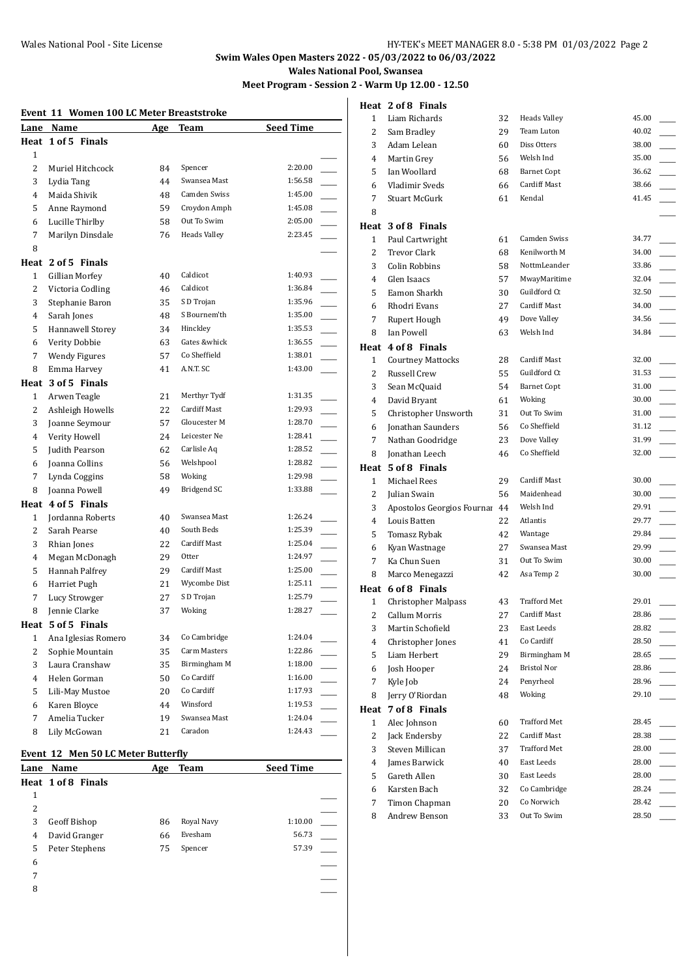## **Swim Wales Open Masters 2022 - 05/03/2022 to 06/03/2022 Wales National Pool, Swansea**

**Meet Program - Session 2 - Warm Up 12.00 - 12.50**

**Heat 2 of 8 Finals**

#### **Event 11 Women 100 LC Meter Breaststroke**

| Lane           | Name                 | Age | Team                | <b>Seed Time</b> |  |
|----------------|----------------------|-----|---------------------|------------------|--|
|                | Heat 1 of 5 Finals   |     |                     |                  |  |
| 1              |                      |     |                     |                  |  |
| $\overline{c}$ | Muriel Hitchcock     | 84  | Spencer             | 2:20.00          |  |
| 3              | Lydia Tang           | 44  | Swansea Mast        | 1:56.58          |  |
| 4              | Maida Shivik         | 48  | Camden Swiss        | 1:45.00          |  |
| 5              | Anne Raymond         | 59  | Croydon Amph        | 1:45.08          |  |
| 6              | Lucille Thirlby      | 58  | Out To Swim         | 2:05.00          |  |
| 7              | Marilyn Dinsdale     | 76  | <b>Heads Valley</b> | 2:23.45          |  |
| 8              |                      |     |                     |                  |  |
| Heat           | 2 of 5 Finals        |     |                     |                  |  |
| 1              | Gillian Morfey       | 40  | Caldicot            | 1:40.93          |  |
| 2              | Victoria Codling     | 46  | Caldicot            | 1:36.84          |  |
| 3              | Stephanie Baron      | 35  | S D Trojan          | 1:35.96          |  |
| 4              | Sarah Jones          | 48  | S Bournem'th        | 1:35.00          |  |
| 5              | Hannawell Storey     | 34  | Hinckley            | 1:35.53          |  |
| 6              | Verity Dobbie        | 63  | Gates &whick        | 1:36.55          |  |
| 7              | <b>Wendy Figures</b> | 57  | Co Sheffield        | 1:38.01          |  |
| 8              | Emma Harvey          | 41  | A.N.T. SC           | 1:43.00          |  |
|                | Heat 3 of 5 Finals   |     |                     |                  |  |
| 1              | Arwen Teagle         | 21  | Merthyr Tydf        | 1:31.35          |  |
| 2              | Ashleigh Howells     | 22  | <b>Cardiff Mast</b> | 1:29.93          |  |
| 3              | Joanne Seymour       | 57  | Gloucester M        | 1:28.70          |  |
| 4              | Verity Howell        | 24  | Leicester Ne        | 1:28.41          |  |
| 5              | Judith Pearson       | 62  | Carlisle Aq         | 1:28.52          |  |
| 6              | Joanna Collins       | 56  | Welshpool           | 1:28.82          |  |
| 7              | Lynda Coggins        | 58  | Woking              | 1:29.98          |  |
| 8              | Joanna Powell        | 49  | Bridgend SC         | 1:33.88          |  |
| Heat           | 4 of 5 Finals        |     |                     |                  |  |
| 1              | Jordanna Roberts     | 40  | Swansea Mast        | 1:26.24          |  |
| 2              | Sarah Pearse         | 40  | South Beds          | 1:25.39          |  |
| 3              | Rhian Jones          | 22  | Cardiff Mast        | 1:25.04          |  |
| 4              | Megan McDonagh       | 29  | Otter               | 1:24.97          |  |
| 5              | Hannah Palfrey       | 29  | Cardiff Mast        | 1:25.00          |  |
| 6              | Harriet Pugh         | 21  | Wycombe Dist        | 1:25.11          |  |
| 7              | Lucy Strowger        | 27  | S D Trojan          | 1:25.79          |  |
| 8              | Jennie Clarke        | 37  | Woking              | 1:28.27          |  |
|                | Heat 5 of 5 Finals   |     |                     |                  |  |
| 1              | Ana Iglesias Romero  | 34  | Co Cambridge        | 1:24.04          |  |
| 2              | Sophie Mountain      | 35  | Carm Masters        | 1:22.86          |  |
| 3              | Laura Cranshaw       | 35  | Birmingham M        | 1:18.00          |  |
| $\overline{4}$ | Helen Gorman         | 50  | Co Cardiff          | 1:16.00          |  |
| 5              | Lili-May Mustoe      | 20  | Co Cardiff          | 1:17.93          |  |
| 6              | Karen Bloyce         | 44  | Winsford            | 1:19.53          |  |
| $\overline{7}$ | Amelia Tucker        | 19  | Swansea Mast        | 1:24.04          |  |
| 8              | Lily McGowan         | 21  | Caradon             | 1:24.43          |  |

#### **Event 12 Men 50 LC Meter Butterfly**

| Lane | Name               | Age | <b>Team</b> | <b>Seed Time</b> |  |
|------|--------------------|-----|-------------|------------------|--|
|      | Heat 1 of 8 Finals |     |             |                  |  |
| 1    |                    |     |             |                  |  |
| 2    |                    |     |             |                  |  |
| 3    | Geoff Bishop       | 86  | Royal Navy  | 1:10.00          |  |
| 4    | David Granger      | 66  | Evesham     | 56.73            |  |
| 5    | Peter Stephens     | 75  | Spencer     | 57.39            |  |
| 6    |                    |     |             |                  |  |
| 7    |                    |     |             |                  |  |
| 8    |                    |     |             |                  |  |

| 1            | Liam Richards                                      | 32 | <b>Heads Valley</b> | 45.00 |
|--------------|----------------------------------------------------|----|---------------------|-------|
| 2            | Sam Bradley                                        | 29 | Team Luton          | 40.02 |
| 3            | Adam Lelean                                        | 60 | Diss Otters         | 38.00 |
| 4            | Martin Grey                                        | 56 | Welsh Ind           | 35.00 |
| 5            | Ian Woollard                                       | 68 | <b>Barnet Copt</b>  | 36.62 |
| 6            | Vladimir Sveds                                     | 66 | Cardiff Mast        | 38.66 |
| 7            | Stuart McGurk                                      | 61 | Kendal              | 41.45 |
| 8            |                                                    |    |                     |       |
|              | Heat 3 of 8 Finals                                 |    |                     |       |
| 1            | Paul Cartwright                                    | 61 | <b>Camden Swiss</b> | 34.77 |
| 2            | <b>Trevor Clark</b>                                | 68 | Kenilworth M        | 34.00 |
| 3            | Colin Robbins                                      | 58 | NottmLeander        | 33.86 |
| 4            | Glen Isaacs                                        | 57 | MwayMaritime        | 32.04 |
| 5            | Eamon Sharkh                                       | 30 | Guildford Ct        | 32.50 |
| 6            | Rhodri Evans                                       | 27 | Cardiff Mast        | 34.00 |
| 7            | Rupert Hough                                       | 49 | Dove Valley         | 34.56 |
| 8            | Ian Powell                                         | 63 | Welsh Ind           | 34.84 |
|              | Heat 4 of 8 Finals                                 |    |                     |       |
| $\mathbf{1}$ | <b>Courtney Mattocks</b>                           | 28 | Cardiff Mast        | 32.00 |
| 2            | Russell Crew                                       | 55 | Guildford Ct        | 31.53 |
| 3            | Sean McQuaid                                       | 54 | <b>Barnet Copt</b>  | 31.00 |
| 4            | David Bryant                                       | 61 | Woking              | 30.00 |
| 5            | Christopher Unsworth                               | 31 | Out To Swim         | 31.00 |
| 6            | <b>Jonathan Saunders</b>                           | 56 | Co Sheffield        | 31.12 |
| 7            | Nathan Goodridge                                   | 23 | Dove Valley         | 31.99 |
| 8            | Jonathan Leech                                     | 46 | Co Sheffield        | 32.00 |
|              | Heat 5 of 8 Finals                                 |    |                     |       |
| $\mathbf{1}$ | Michael Rees                                       | 29 | Cardiff Mast        | 30.00 |
| 2            | Julian Swain                                       | 56 | Maidenhead          | 30.00 |
| 3            | Apostolos Georgios Fournai 44                      |    | Welsh Ind           | 29.91 |
| 4            | Louis Batten                                       | 22 | Atlantis            | 29.77 |
| 5            | Tomasz Rybak                                       | 42 | Wantage             | 29.84 |
| 6            | Kyan Wastnage                                      | 27 | Swansea Mast        | 29.99 |
| 7            | Ka Chun Suen                                       | 31 | Out To Swim         | 30.00 |
| 8            |                                                    | 42 | Asa Temp 2          | 30.00 |
|              | Marco Menegazzi                                    |    |                     |       |
|              | Heat 6 of 8 Finals                                 |    | <b>Trafford Met</b> | 29.01 |
| 1<br>2       | <b>Christopher Malpass</b><br><b>Callum Morris</b> | 43 | <b>Cardiff Mast</b> | 28.86 |
| 3            |                                                    | 27 | East Leeds          | 28.82 |
|              | Martin Schofield                                   | 23 | Co Cardiff          | 28.50 |
| 4            | Christopher Jones                                  | 41 | Birmingham M        | 28.65 |
| 5            | Liam Herbert                                       | 29 | <b>Bristol Nor</b>  | 28.86 |
| 6            | Josh Hooper                                        | 24 | Penyrheol           | 28.96 |
| 7            | Kyle Job                                           | 24 | Woking              | 29.10 |
| 8            | Jerry O'Riordan                                    | 48 |                     |       |
|              | Heat 7 of 8 Finals                                 |    |                     |       |
| $\mathbf{1}$ | Alec Johnson                                       | 60 | Trafford Met        | 28.45 |
| 2            | Jack Endersby                                      | 22 | Cardiff Mast        | 28.38 |
| 3            | Steven Millican                                    | 37 | Trafford Met        | 28.00 |
| 4            | James Barwick                                      | 40 | East Leeds          | 28.00 |
| 5            | Gareth Allen                                       | 30 | East Leeds          | 28.00 |
| 6            | Karsten Bach                                       | 32 | Co Cambridge        | 28.24 |
| 7<br>8       | Timon Chapman                                      | 20 | Co Norwich          | 28.42 |
|              | Andrew Benson                                      | 33 | Out To Swim         | 28.50 |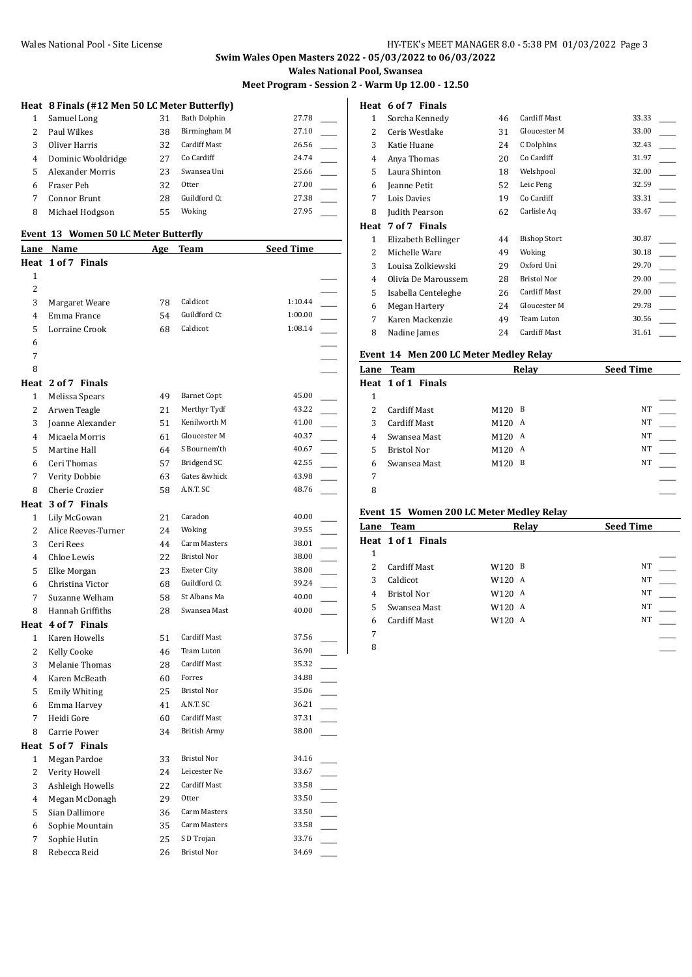## **Swim Wales Open Masters 2022 - 05/03/2022 to 06/03/2022 Wales National Pool, Swansea**

**Meet Program - Session 2 - Warm Up 12.00 - 12.50**

# **Heat 8 Finals (#12 Men 50 LC Meter Butterfly)**

| Samuel Long        | 31 | Bath Dolphin | 27.78 |  |
|--------------------|----|--------------|-------|--|
| Paul Wilkes        | 38 | Birmingham M | 27.10 |  |
| Oliver Harris      | 32 | Cardiff Mast | 26.56 |  |
| Dominic Wooldridge | 27 | Co Cardiff   | 24.74 |  |
| Alexander Morris   | 23 | Swansea Uni  | 25.66 |  |
| Fraser Peh         | 32 | Otter        | 27.00 |  |
| Connor Brunt       | 28 | Guildford Ct | 27.38 |  |
| Michael Hodgson    | 55 | Woking       | 27.95 |  |
|                    |    |              |       |  |

#### **Event 13 Women 50 LC Meter Butterfly**

|                | Lane Name            | Age | Team                | <b>Seed Time</b> |  |
|----------------|----------------------|-----|---------------------|------------------|--|
|                | Heat 1 of 7 Finals   |     |                     |                  |  |
| 1              |                      |     |                     |                  |  |
| $\overline{c}$ |                      |     |                     |                  |  |
| 3              | Margaret Weare       | 78  | Caldicot            | 1:10.44          |  |
| 4              | Emma France          | 54  | Guildford Ct        | 1:00.00          |  |
| 5              | Lorraine Crook       | 68  | Caldicot            | 1:08.14          |  |
| 6              |                      |     |                     |                  |  |
| 7              |                      |     |                     |                  |  |
| 8              |                      |     |                     |                  |  |
|                | Heat 2 of 7 Finals   |     |                     |                  |  |
| 1              | Melissa Spears       | 49  | <b>Barnet Copt</b>  | 45.00            |  |
| $\overline{2}$ | Arwen Teagle         | 21  | Merthyr Tydf        | 43.22            |  |
| 3              | Joanne Alexander     | 51  | Kenilworth M        | 41.00            |  |
| 4              | Micaela Morris       | 61  | Gloucester M        | 40.37            |  |
| 5              | Martine Hall         | 64  | S Bournem'th        | 40.67            |  |
| 6              | Ceri Thomas          | 57  | Bridgend SC         | 42.55            |  |
| 7              | Verity Dobbie        | 63  | Gates &whick        | 43.98            |  |
| 8              | Cherie Crozier       | 58  | A.N.T. SC           | 48.76            |  |
|                | Heat 3 of 7 Finals   |     |                     |                  |  |
| 1              | Lily McGowan         | 21  | Caradon             | 40.00            |  |
| 2              | Alice Reeves-Turner  | 24  | Woking              | 39.55            |  |
| 3              | Ceri Rees            | 44  | Carm Masters        | 38.01            |  |
| 4              | Chloe Lewis          | 22  | Bristol Nor         | 38.00            |  |
| 5              | Elke Morgan          | 23  | Exeter City         | 38.00            |  |
| 6              | Christina Victor     | 68  | Guildford Ct        | 39.24            |  |
| 7              | Suzanne Welham       | 58  | St Albans Ma        | 40.00            |  |
| 8              | Hannah Griffiths     | 28  | Swansea Mast        | 40.00            |  |
|                | Heat 4 of 7 Finals   |     |                     |                  |  |
| 1              | Karen Howells        | 51  | Cardiff Mast        | 37.56            |  |
| $\overline{2}$ | Kelly Cooke          | 46  | Team Luton          | 36.90            |  |
| 3              | Melanie Thomas       | 28  | <b>Cardiff Mast</b> | 35.32            |  |
| 4              | Karen McBeath        | 60  | Forres              | 34.88            |  |
| 5              | <b>Emily Whiting</b> | 25  | <b>Bristol Nor</b>  | 35.06            |  |
| 6              | Emma Harvey          | 41  | A.N.T. SC           | 36.21            |  |
| 7              | Heidi Gore           | 60  | Cardiff Mast        | 37.31            |  |
| 8              | Carrie Power         | 34  | <b>British Army</b> | 38.00            |  |
|                | Heat 5 of 7 Finals   |     |                     |                  |  |
| 1              | Megan Pardoe         | 33  | Bristol Nor         | 34.16            |  |
| 2              | Verity Howell        | 24  | Leicester Ne        | 33.67            |  |
| 3              | Ashleigh Howells     | 22  | Cardiff Mast        | 33.58            |  |
| $\overline{4}$ | Megan McDonagh       | 29  | Otter               | 33.50            |  |
| 5              | Sian Dallimore       | 36  | Carm Masters        | 33.50            |  |
| 6              | Sophie Mountain      | 35  | Carm Masters        | 33.58            |  |
| 7              | Sophie Hutin         | 25  | S D Trojan          | 33.76            |  |
| 8              | Rebecca Reid         | 26  | Bristol Nor         | 34.69            |  |

#### **Heat 6 of 7 Finals**

| 1    | Sorcha Kennedy      | 46 | <b>Cardiff Mast</b> | 33.33 |
|------|---------------------|----|---------------------|-------|
| 2    | Ceris Westlake      | 31 | Gloucester M        | 33.00 |
| 3    | Katie Huane         | 24 | C Dolphins          | 32.43 |
| 4    | Anya Thomas         | 20 | Co Cardiff          | 31.97 |
| 5    | Laura Shinton       | 18 | Welshpool           | 32.00 |
| 6    | Jeanne Petit        | 52 | Leic Peng           | 32.59 |
| 7    | Lois Davies         | 19 | Co Cardiff          | 33.31 |
| 8    | Judith Pearson      | 62 | Carlisle Aq         | 33.47 |
| Heat | 7 of 7 Finals       |    |                     |       |
| 1    | Elizabeth Bellinger | 44 | <b>Bishop Stort</b> | 30.87 |
| 2    | Michelle Ware       | 49 | Woking              | 30.18 |
| 3    | Louisa Zolkiewski   | 29 | Oxford Uni          | 29.70 |
| 4    | Olivia De Maroussem | 28 | <b>Bristol Nor</b>  | 29.00 |
| 5    | Isabella Centeleghe | 26 | <b>Cardiff Mast</b> | 29.00 |
| 6    | Megan Hartery       | 24 | Gloucester M        | 29.78 |
| 7    | Karen Mackenzie     | 49 | Team Luton          | 30.56 |
| 8    | Nadine James        | 24 | <b>Cardiff Mast</b> | 31.61 |

#### **Event 14 Men 200 LC Meter Medley Relay**

|   | LVEIIU 17 MEII 200 LUMEIEI MEUIEV REIAV |                  |       |                  |  |
|---|-----------------------------------------|------------------|-------|------------------|--|
|   | <b>Lane Team</b>                        |                  | Relay | <b>Seed Time</b> |  |
|   | Heat 1 of 1 Finals                      |                  |       |                  |  |
| 1 |                                         |                  |       |                  |  |
| 2 | <b>Cardiff Mast</b>                     | M120             | B     | NT               |  |
| 3 | <b>Cardiff Mast</b>                     | M120 A           |       | NT               |  |
| 4 | Swansea Mast                            | M120 A           |       | NT               |  |
| 5 | <b>Bristol Nor</b>                      | M120 A           |       | NT               |  |
| 6 | Swansea Mast                            | M <sub>120</sub> | B     | NT               |  |
| 7 |                                         |                  |       |                  |  |
| 8 |                                         |                  |       |                  |  |
|   |                                         |                  |       |                  |  |

#### **Event 15 Women 200 LC Meter Medley Relay**

|    | <b>Lane Team</b>    |                    | Relay | <b>Seed Time</b> |  |
|----|---------------------|--------------------|-------|------------------|--|
|    | Heat 1 of 1 Finals  |                    |       |                  |  |
| 1  |                     |                    |       |                  |  |
|    | <b>Cardiff Mast</b> | W120 B             |       | NT               |  |
| 3  | Caldicot            | W120 A             |       | NT               |  |
| 4  | <b>Bristol Nor</b>  | W120 A             |       | NT               |  |
| 5. | Swansea Mast        | W120 A             |       | NT               |  |
| 6  | <b>Cardiff Mast</b> | W <sub>120</sub> A |       | NT               |  |
| 7  |                     |                    |       |                  |  |

\_\_\_\_\_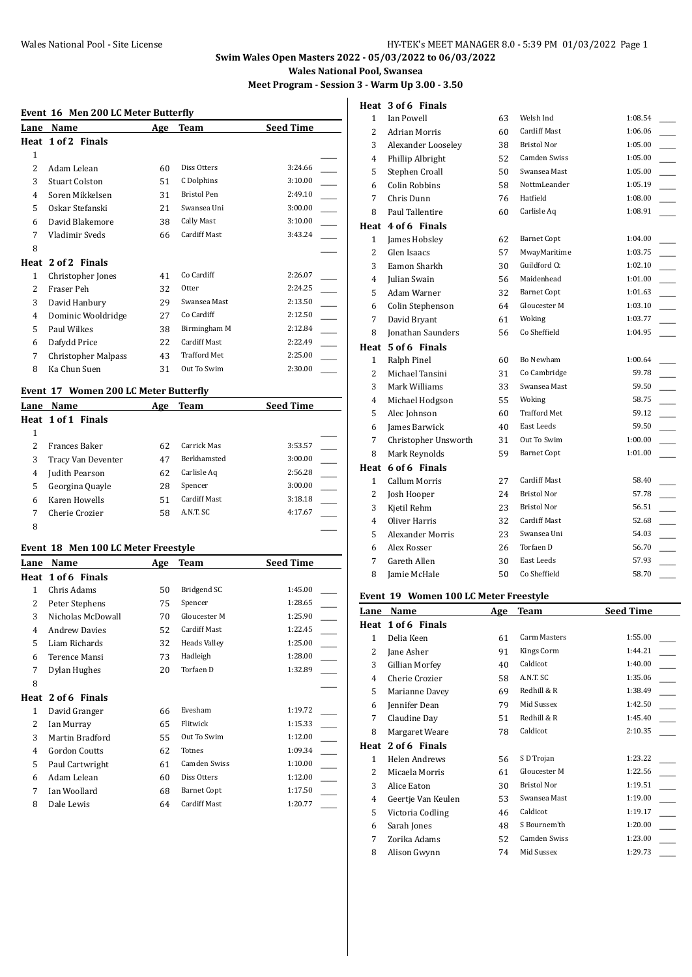# Wales National Pool - Site License Mational Pool - Site License 1 and Mational Pool - Site License

# **Swim Wales Open Masters 2022 - 05/03/2022 to 06/03/2022**

**Wales National Pool, Swansea**

**Meet Program - Session 3 - Warm Up 3.00 - 3.50**

# **Event 16 Men 200 LC Meter Butterfly**

| Lane           | Name                       | Age | Team                | <b>Seed Time</b> |
|----------------|----------------------------|-----|---------------------|------------------|
|                | Heat 1 of 2 Finals         |     |                     |                  |
| 1              |                            |     |                     |                  |
| $\mathfrak{D}$ | Adam Lelean                | 60  | Diss Otters         | 3:24.66          |
| 3              | <b>Stuart Colston</b>      | 51  | C Dolphins          | 3:10.00          |
| 4              | Soren Mikkelsen            | 31  | <b>Bristol Pen</b>  | 2:49.10          |
| 5.             | Oskar Stefanski            | 21  | Swansea Uni         | 3:00.00          |
| 6              | David Blakemore            | 38  | Cally Mast          | 3:10.00          |
| 7              | Vladimir Sveds             | 66  | <b>Cardiff Mast</b> | 3:43.24          |
| 8              |                            |     |                     |                  |
| Heat           | 2 of 2 Finals              |     |                     |                  |
| 1              | Christopher Jones          | 41  | Co Cardiff          | 2:26.07          |
| 2              | Fraser Peh                 | 32  | Otter               | 2:24.25          |
| 3              | David Hanbury              | 29  | Swansea Mast        | 2:13.50          |
| 4              | Dominic Wooldridge         | 27  | Co Cardiff          | 2:12.50          |
| 5              | Paul Wilkes                | 38  | Birmingham M        | 2:12.84          |
| 6              | Dafydd Price               | 22  | <b>Cardiff Mast</b> | 2:22.49          |
| 7              | <b>Christopher Malpass</b> | 43  | <b>Trafford Met</b> | 2:25.00          |
| 8              | Ka Chun Suen               | 31  | Out To Swim         | 2:30.00          |
|                |                            |     |                     |                  |

#### **Event 17 Women 200 LC Meter Butterfly**

| Lane | Name               | Age | Team               | <b>Seed Time</b> |
|------|--------------------|-----|--------------------|------------------|
|      | Heat 1 of 1 Finals |     |                    |                  |
| 1    |                    |     |                    |                  |
| 2    | Frances Baker      | 62  | Carrick Mas        | 3:53.57          |
| 3    | Tracy Van Deventer | 47  | <b>Berkhamsted</b> | 3:00.00          |
| 4    | Judith Pearson     | 62  | Carlisle Aq        | 2:56.28          |
| 5    | Georgina Quayle    | 28  | Spencer            | 3:00.00          |
| 6    | Karen Howells      | 51  | Cardiff Mast       | 3:18.18          |
|      | Cherie Crozier     | 58  | ANT SC             | 4:17.67          |
| 8    |                    |     |                    |                  |

#### **Event 18 Men 100 LC Meter Freestyle**

| 1:45.00<br>1:28.65<br>1:25.90<br>1:22.45<br>1:25.00 |
|-----------------------------------------------------|
|                                                     |
|                                                     |
|                                                     |
|                                                     |
|                                                     |
|                                                     |
| 1:28.00                                             |
| 1:32.89                                             |
|                                                     |
|                                                     |
| 1:19.72                                             |
| 1:15.33                                             |
| 1:12.00                                             |
| 1:09.34                                             |
| 1:10.00                                             |
| 1:12.00                                             |
| 1:17.50                                             |
| 1:20.77                                             |
|                                                     |

# **Heat 3 of 6 Finals**

| 1              | Ian Powell               | 63 | Welsh Ind          | 1:08.54 |  |
|----------------|--------------------------|----|--------------------|---------|--|
| $\overline{2}$ | <b>Adrian Morris</b>     | 60 | Cardiff Mast       | 1:06.06 |  |
| 3              | Alexander Looselev       | 38 | <b>Bristol Nor</b> | 1:05.00 |  |
| 4              | Phillip Albright         | 52 | Camden Swiss       | 1:05.00 |  |
| 5              | Stephen Croall           | 50 | Swansea Mast       | 1:05.00 |  |
| 6              | Colin Robbins            | 58 | NottmLeander       | 1:05.19 |  |
| 7              | Chris Dunn               | 76 | Hatfield           | 1:08.00 |  |
| 8              | Paul Tallentire          | 60 | Carlisle Aq        | 1:08.91 |  |
| Heat           | 4 of 6 Finals            |    |                    |         |  |
| $\mathbf{1}$   | James Hobsley            | 62 | <b>Barnet Copt</b> | 1:04.00 |  |
| $\overline{2}$ | Glen Isaacs              | 57 | MwayMaritime       | 1:03.75 |  |
| 3              | Eamon Sharkh             | 30 | Guildford Ct       | 1:02.10 |  |
| 4              | Julian Swain             | 56 | Maidenhead         | 1:01.00 |  |
| 5              | Adam Warner              | 32 | <b>Barnet Copt</b> | 1:01.63 |  |
| 6              | Colin Stephenson         | 64 | Gloucester M       | 1:03.10 |  |
| 7              | David Bryant             | 61 | Woking             | 1:03.77 |  |
| 8              | <b>Jonathan Saunders</b> | 56 | Co Sheffield       | 1:04.95 |  |
| Heat           | 5 of 6 Finals            |    |                    |         |  |
| $\mathbf{1}$   | Ralph Pinel              | 60 | Bo Newham          | 1:00.64 |  |
| $\overline{2}$ | Michael Tansini          | 31 | Co Cambridge       | 59.78   |  |
| 3              | Mark Williams            | 33 | Swansea Mast       | 59.50   |  |
| 4              | Michael Hodgson          | 55 | Woking             | 58.75   |  |
| 5              | Alec Johnson             | 60 | Trafford Met       | 59.12   |  |
| 6              | James Barwick            | 40 | East Leeds         | 59.50   |  |
| 7              | Christopher Unsworth     | 31 | Out To Swim        | 1:00.00 |  |
| 8              | Mark Reynolds            | 59 | <b>Barnet Copt</b> | 1:01.00 |  |
| Heat           | 6 of 6 Finals            |    |                    |         |  |
| $\mathbf{1}$   | Callum Morris            | 27 | Cardiff Mast       | 58.40   |  |
| 2              | Josh Hooper              | 24 | Bristol Nor        | 57.78   |  |
| 3              | Kjetil Rehm              | 23 | <b>Bristol Nor</b> | 56.51   |  |
| 4              | Oliver Harris            | 32 | Cardiff Mast       | 52.68   |  |
| 5              | Alexander Morris         | 23 | Swansea Uni        | 54.03   |  |
| 6              | Alex Rosser              | 26 | Torfaen D          | 56.70   |  |
| 7              | Gareth Allen             | 30 | East Leeds         | 57.93   |  |
| 8              | Jamie McHale             | 50 | Co Sheffield       | 58.70   |  |

#### **Event 19 Women 100 LC Meter Freestyle**

| Lane | Name               | Age | <b>Team</b>         | <b>Seed Time</b> |
|------|--------------------|-----|---------------------|------------------|
| Heat | 1 of 6 Finals      |     |                     |                  |
| 1    | Delia Keen         | 61  | <b>Carm Masters</b> | 1:55.00          |
| 2    | Jane Asher         | 91  | Kings Corm          | 1:44.21          |
| 3    | Gillian Morfey     | 40  | Caldicot            | 1:40.00          |
| 4    | Cherie Crozier     | 58  | A.N.T. SC           | 1:35.06          |
| 5    | Marianne Davey     | 69  | Redhill & R         | 1:38.49          |
| 6    | Jennifer Dean      | 79  | Mid Sussex          | 1:42.50          |
| 7    | Claudine Day       | 51  | Redhill & R         | 1:45.40          |
| 8    | Margaret Weare     | 78  | Caldicot            | 2:10.35          |
| Heat | 2 of 6 Finals      |     |                     |                  |
| 1    | Helen Andrews      | 56  | S D Trojan          | 1:23.22          |
| 2    | Micaela Morris     | 61  | Gloucester M        | 1:22.56          |
| 3    | Alice Eaton        | 30  | <b>Bristol Nor</b>  | 1:19.51          |
| 4    | Geertje Van Keulen | 53  | Swansea Mast        | 1:19.00          |
| 5    | Victoria Codling   | 46  | Caldicot            | 1:19.17          |
| 6    | Sarah Jones        | 48  | S Bournem'th        | 1:20.00          |
| 7    | Zorika Adams       | 52  | Camden Swiss        | 1:23.00          |
| 8    | Alison Gwynn       | 74  | Mid Sussex          | 1:29.73          |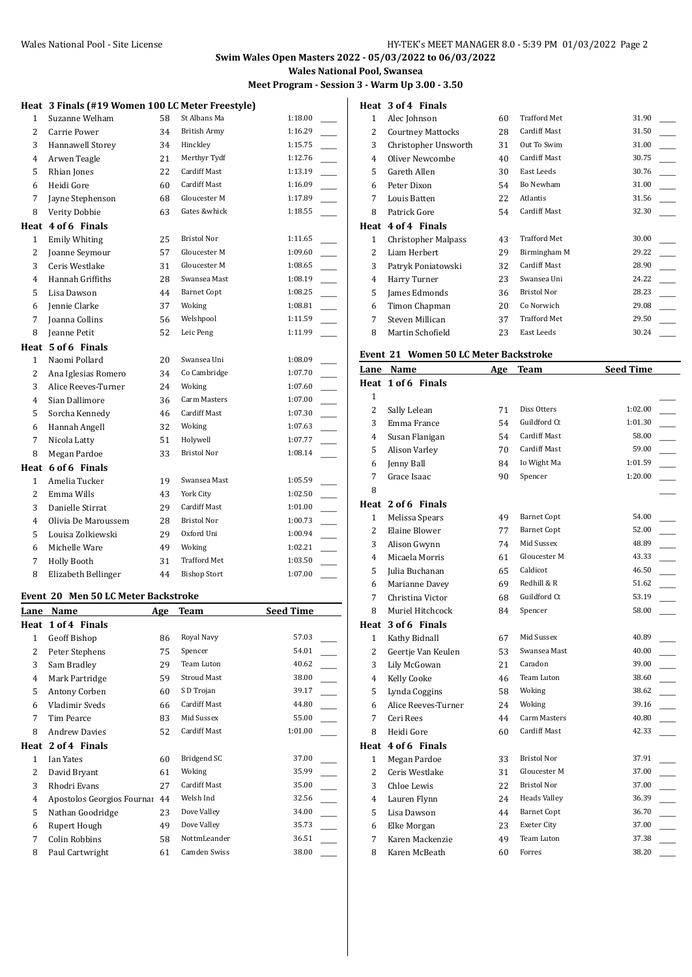# **Swim Wales Open Masters 2022 - 05/03/2022 to 06/03/2022**

**Wales National Pool, Swansea**

**Meet Program - Session 3 - Warm Up 3.00 - 3.50**

|                | Heat 3 Finals (#19 Women 100 LC Meter Freestyle) |    |                     |         |
|----------------|--------------------------------------------------|----|---------------------|---------|
| $\mathbf{1}$   | Suzanne Welham                                   | 58 | St Albans Ma        | 1:18.00 |
| $\overline{2}$ | Carrie Power                                     | 34 | <b>British Army</b> | 1:16.29 |
| 3              | Hannawell Storey                                 | 34 | Hinckley            | 1:15.75 |
| $\overline{4}$ | Arwen Teagle                                     | 21 | Merthyr Tydf        | 1:12.76 |
| 5              | Rhian Jones                                      | 22 | Cardiff Mast        | 1:13.19 |
| 6              | Heidi Gore                                       | 60 | <b>Cardiff Mast</b> | 1:16.09 |
| 7              | Jayne Stephenson                                 | 68 | Gloucester M        | 1:17.89 |
| 8              | Verity Dobbie                                    | 63 | Gates &whick        | 1:18.55 |
|                | Heat 4 of 6 Finals                               |    |                     |         |
| 1              | <b>Emily Whiting</b>                             | 25 | <b>Bristol Nor</b>  | 1:11.65 |
| $\overline{2}$ | Joanne Seymour                                   | 57 | Gloucester M        | 1:09.60 |
| 3              | Ceris Westlake                                   | 31 | Gloucester M        | 1:08.65 |
| $\overline{4}$ | Hannah Griffiths                                 | 28 | Swansea Mast        | 1:08.19 |
| 5              | Lisa Dawson                                      | 44 | <b>Barnet Copt</b>  | 1:08.25 |
| 6              | Jennie Clarke                                    | 37 | Woking              | 1:08.81 |
| 7              | <b>Joanna Collins</b>                            | 56 | Welshpool           | 1:11.59 |
| 8              | Jeanne Petit                                     | 52 | Leic Peng           | 1:11.99 |
|                | Heat 5 of 6 Finals                               |    |                     |         |
| $\mathbf{1}$   | Naomi Pollard                                    | 20 | Swansea Uni         | 1:08.09 |
| 2              | Ana Iglesias Romero                              | 34 | Co Cambridge        | 1:07.70 |
| 3              | Alice Reeves-Turner                              | 24 | Woking              | 1:07.60 |
| $\overline{4}$ | Sian Dallimore                                   | 36 | Carm Masters        | 1:07.00 |
| 5              | Sorcha Kennedy                                   | 46 | <b>Cardiff Mast</b> | 1:07.30 |
| 6              | Hannah Angell                                    | 32 | Woking              | 1:07.63 |
| 7              | Nicola Latty                                     | 51 | Holywell            | 1:07.77 |
| 8              | Megan Pardoe                                     | 33 | <b>Bristol Nor</b>  | 1:08.14 |
| Heat           | 6 of 6 Finals                                    |    |                     |         |
| 1              | Amelia Tucker                                    | 19 | Swansea Mast        | 1:05.59 |
| $\overline{2}$ | Emma Wills                                       | 43 | York City           | 1:02.50 |
| 3              | Danielle Stirrat                                 | 29 | Cardiff Mast        | 1:01.00 |
| 4              | Olivia De Maroussem                              | 28 | <b>Bristol Nor</b>  | 1:00.73 |
| 5              | Louisa Zolkiewski                                | 29 | Oxford Uni          | 1:00.94 |
| 6              | Michelle Ware                                    | 49 | Woking              | 1:02.21 |
| 7              | <b>Holly Booth</b>                               | 31 | <b>Trafford Met</b> | 1:03.50 |
| 8              | Elizabeth Bellinger                              | 44 | <b>Bishop Stort</b> | 1:07.00 |

#### **Event 20 Men 50 LC Meter Backstroke**

| Lane | Name                       | Age | Team                | <b>Seed Time</b> |
|------|----------------------------|-----|---------------------|------------------|
| Heat | 1 of 4 Finals              |     |                     |                  |
| 1    | Geoff Bishop               | 86  | Royal Navy          | 57.03            |
| 2    | Peter Stephens             | 75  | Spencer             | 54.01            |
| 3    | Sam Bradley                | 29  | Team Luton          | 40.62            |
| 4    | Mark Partridge             | 59  | <b>Stroud Mast</b>  | 38.00            |
| 5.   | Antony Corben              | 60  | S D Trojan          | 39.17            |
| 6    | Vladimir Sveds             | 66  | <b>Cardiff Mast</b> | 44.80            |
| 7    | Tim Pearce                 | 83  | Mid Sussex          | 55.00            |
| 8    | <b>Andrew Davies</b>       | 52  | <b>Cardiff Mast</b> | 1:01.00          |
| Heat | 2 of 4 Finals              |     |                     |                  |
| 1    | Ian Yates                  | 60  | Bridgend SC         | 37.00            |
| 2    | David Bryant               | 61  | Woking              | 35.99            |
| 3    | Rhodri Evans               | 27  | Cardiff Mast        | 35.00            |
| 4    | Apostolos Georgios Fournar | 44  | Welsh Ind           | 32.56            |
| 5    | Nathan Goodridge           | 23  | Dove Valley         | 34.00            |
| 6    | Rupert Hough               | 49  | Dove Valley         | 35.73            |
| 7    | Colin Robbins              | 58  | NottmLeander        | 36.51            |
| 8    | Paul Cartwright            | 61  | Camden Swiss        | 38.00            |
|      |                            |     |                     |                  |

# **Heat 3 of 4 Finals**

| 1    | Alec Johnson             | 60 | <b>Trafford Met</b> | 31.90 |
|------|--------------------------|----|---------------------|-------|
| 2    | <b>Courtney Mattocks</b> | 28 | Cardiff Mast        | 31.50 |
| 3    | Christopher Unsworth     | 31 | Out To Swim         | 31.00 |
| 4    | Oliver Newcombe          | 40 | Cardiff Mast        | 30.75 |
| 5    | Gareth Allen             | 30 | East Leeds          | 30.76 |
| 6    | Peter Dixon              | 54 | Bo Newham           | 31.00 |
| 7    | Louis Batten             | 22 | Atlantis            | 31.56 |
| 8    | Patrick Gore             | 54 | <b>Cardiff Mast</b> | 32.30 |
| Heat | 4 of 4 Finals            |    |                     |       |
| 1    | Christopher Malpass      | 43 | <b>Trafford Met</b> | 30.00 |
| 2    | Liam Herbert             | 29 | Birmingham M        | 29.22 |
| 3    | Patryk Poniatowski       | 32 | <b>Cardiff Mast</b> | 28.90 |
| 4    | Harry Turner             | 23 | Swansea Uni         | 24.22 |
| 5    | James Edmonds            | 36 | <b>Bristol Nor</b>  | 28.23 |
| 6    | Timon Chapman            | 20 | Co Norwich          | 29.08 |
| 7    | Steven Millican          | 37 | <b>Trafford Met</b> | 29.50 |
| 8    | Martin Schofield         | 23 | East Leeds          | 30.24 |

#### **Event 21 Women 50 LC Meter Backstroke**

| вvспl 21       | WOMEN JO LC METER DACKSU ONE |     |                     |                  |
|----------------|------------------------------|-----|---------------------|------------------|
| Lane           | Name                         | Age | Team                | <b>Seed Time</b> |
|                | Heat 1 of 6 Finals           |     |                     |                  |
| 1              |                              |     |                     |                  |
| 2              | Sally Lelean                 | 71  | Diss Otters         | 1:02.00          |
| 3              | Emma France                  | 54  | Guildford Ct        | 1:01.30          |
| 4              | Susan Flanigan               | 54  | Cardiff Mast        | 58.00            |
| 5              | Alison Varley                | 70  | <b>Cardiff Mast</b> | 59.00            |
| 6              | Jenny Ball                   | 84  | Io Wight Ma         | 1:01.59          |
| 7              | Grace Isaac                  | 90  | Spencer             | 1:20.00          |
| 8              |                              |     |                     |                  |
|                | Heat 2 of 6 Finals           |     |                     |                  |
| $\mathbf{1}$   | Melissa Spears               | 49  | <b>Barnet Copt</b>  | 54.00            |
| $\overline{c}$ | Elaine Blower                | 77  | <b>Barnet Copt</b>  | 52.00            |
| 3              | Alison Gwynn                 | 74  | Mid Sussex          | 48.89            |
| 4              | Micaela Morris               | 61  | Gloucester M        | 43.33            |
| 5              | Julia Buchanan               | 65  | Caldicot            | 46.50            |
| 6              | Marianne Davey               | 69  | Redhill & R         | 51.62            |
| 7              | Christina Victor             | 68  | Guildford Ct        | 53.19            |
| 8              | Muriel Hitchcock             | 84  | Spencer             | 58.00            |
| Heat           | 3 of 6 Finals                |     |                     |                  |
| $\mathbf{1}$   | Kathy Bidnall                | 67  | Mid Sussex          | 40.89            |
| 2              | Geertje Van Keulen           | 53  | Swansea Mast        | 40.00            |
| 3              | Lily McGowan                 | 21  | Caradon             | 39.00            |
| 4              | <b>Kelly Cooke</b>           | 46  | Team Luton          | 38.60            |
| 5              | Lynda Coggins                | 58  | Woking              | 38.62            |
| 6              | Alice Reeves-Turner          | 24  | Woking              | 39.16            |
| 7              | Ceri Rees                    | 44  | <b>Carm Masters</b> | 40.80            |
| 8              | Heidi Gore                   | 60  | Cardiff Mast        | 42.33            |
|                | Heat 4 of 6 Finals           |     |                     |                  |
| $\mathbf{1}$   | Megan Pardoe                 | 33  | <b>Bristol Nor</b>  | 37.91            |
| 2              | Ceris Westlake               | 31  | Gloucester M        | 37.00            |
| 3              | Chloe Lewis                  | 22  | <b>Bristol Nor</b>  | 37.00            |
| 4              | Lauren Flynn                 | 24  | <b>Heads Valley</b> | 36.39            |
| 5              | Lisa Dawson                  | 44  | <b>Barnet Copt</b>  | 36.70            |
| 6              | Elke Morgan                  | 23  | Exeter City         | 37.00            |
| 7              | Karen Mackenzie              | 49  | Team Luton          | 37.38            |
| 8              | Karen McBeath                | 60  | Forres              | 38.20            |
|                |                              |     |                     |                  |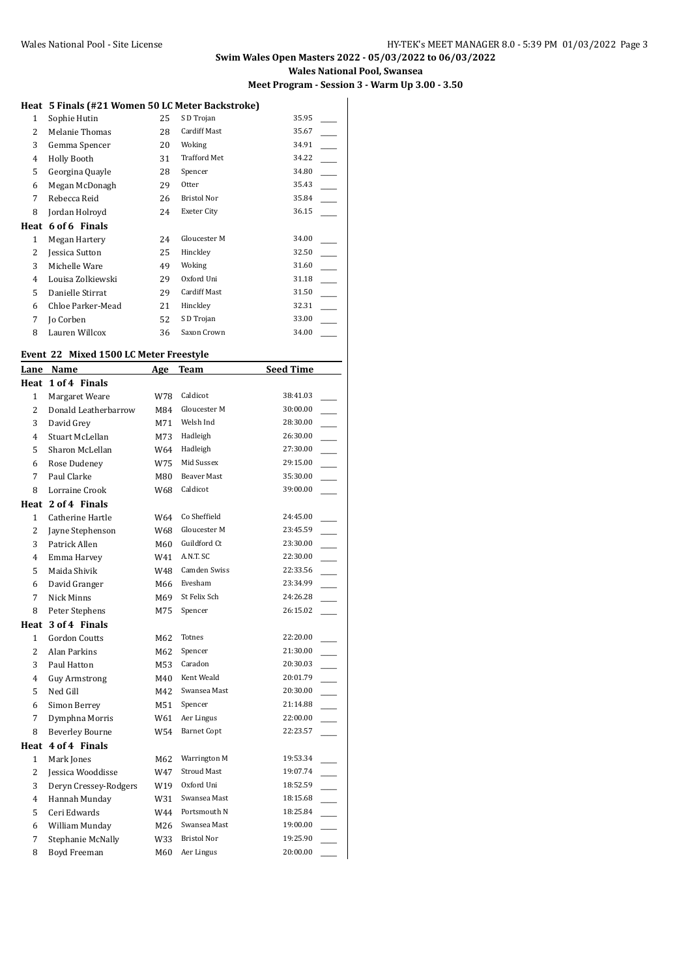#### **Swim Wales Open Masters 2022 - 05/03/2022 to 06/03/2022 Wales National Pool, Swansea Meet Program - Session 3 - Warm Up 3.00 - 3.50**

#### **Heat 5 Finals (#21 Women 50 LC Meter Backstroke)**

| 1    | Sophie Hutin      | 25 | S D Trojan          | 35.95 |  |
|------|-------------------|----|---------------------|-------|--|
| 2    | Melanie Thomas    | 28 | Cardiff Mast        | 35.67 |  |
| 3    | Gemma Spencer     | 20 | Woking              | 34.91 |  |
| 4    | Holly Booth       | 31 | <b>Trafford Met</b> | 34.22 |  |
| 5    | Georgina Quayle   | 28 | Spencer             | 34.80 |  |
| 6    | Megan McDonagh    | 29 | Otter               | 35.43 |  |
| 7    | Rebecca Reid      | 26 | <b>Bristol Nor</b>  | 35.84 |  |
| 8    | Jordan Holroyd    | 24 | Exeter City         | 36.15 |  |
| Heat | 6 of 6 Finals     |    |                     |       |  |
| 1    | Megan Hartery     | 24 | Gloucester M        | 34.00 |  |
| 2    | Jessica Sutton    | 25 | Hinckley            | 32.50 |  |
| 3    | Michelle Ware     | 49 | Woking              | 31.60 |  |
| 4    | Louisa Zolkiewski | 29 | Oxford Uni          | 31.18 |  |
| 5    |                   |    |                     |       |  |
|      | Danielle Stirrat  | 29 | <b>Cardiff Mast</b> | 31.50 |  |
| 6    | Chloe Parker-Mead | 21 | Hinckley            | 32.31 |  |
| 7    | Jo Corben         | 52 | S D Trojan          | 33.00 |  |

#### **Event 22 Mixed 1500 LC Meter Freestyle**

| Lane           | Name                   | Age | <b>Team</b>         | <b>Seed Time</b> |  |
|----------------|------------------------|-----|---------------------|------------------|--|
|                | Heat 1 of 4 Finals     |     |                     |                  |  |
| $\mathbf{1}$   | Margaret Weare         | W78 | Caldicot            | 38:41.03         |  |
| $\overline{2}$ | Donald Leatherbarrow   | M84 | Gloucester M        | 30:00.00         |  |
| 3              | David Grey             | M71 | Welsh Ind           | 28:30.00         |  |
| 4              | Stuart McLellan        | M73 | Hadleigh            | 26:30.00         |  |
| 5              | Sharon McLellan        | W64 | Hadleigh            | 27:30.00         |  |
| 6              | Rose Dudeney           | W75 | Mid Sussex          | 29:15.00         |  |
| 7              | Paul Clarke            | M80 | <b>Beaver Mast</b>  | 35:30.00         |  |
| 8              | Lorraine Crook         | W68 | Caldicot            | 39:00.00         |  |
|                | Heat 2 of 4 Finals     |     |                     |                  |  |
| 1              | Catherine Hartle       | W64 | Co Sheffield        | 24:45.00         |  |
| 2              | Jayne Stephenson       | W68 | Gloucester M        | 23:45.59         |  |
| 3              | Patrick Allen          | M60 | Guildford Ct        | 23:30.00         |  |
| $\overline{4}$ | Emma Harvey            | W41 | A.N.T. SC           | 22:30.00         |  |
| 5              | Maida Shivik           | W48 | <b>Camden Swiss</b> | 22:33.56         |  |
| 6              | David Granger          | M66 | Evesham             | 23:34.99         |  |
| 7              | Nick Minns             | M69 | St Felix Sch        | 24:26.28         |  |
| 8              | Peter Stephens         | M75 | Spencer             | 26:15.02         |  |
| Heat           | 3 of 4 Finals          |     |                     |                  |  |
| $\mathbf{1}$   | <b>Gordon Coutts</b>   | M62 | Totnes              | 22:20.00         |  |
| $\overline{2}$ | Alan Parkins           | M62 | Spencer             | 21:30.00         |  |
| 3              | Paul Hatton            | M53 | Caradon             | 20:30.03         |  |
| 4              | <b>Guy Armstrong</b>   | M40 | Kent Weald          | 20:01.79         |  |
| 5              | Ned Gill               | M42 | Swansea Mast        | 20:30.00         |  |
| 6              | Simon Berrey           | M51 | Spencer             | 21:14.88         |  |
| 7              | Dymphna Morris         | W61 | Aer Lingus          | 22:00.00         |  |
| 8              | <b>Beverley Bourne</b> | W54 | <b>Barnet Copt</b>  | 22:23.57         |  |
|                | Heat 4 of 4 Finals     |     |                     |                  |  |
| $\mathbf{1}$   | Mark Jones             | M62 | Warrington M        | 19:53.34         |  |
| 2              | Jessica Wooddisse      | W47 | <b>Stroud Mast</b>  | 19:07.74         |  |
| 3              | Deryn Cressey-Rodgers  | W19 | Oxford Uni          | 18:52.59         |  |
| 4              | Hannah Munday          | W31 | Swansea Mast        | 18:15.68         |  |
| 5              | Ceri Edwards           | W44 | Portsmouth N        | 18:25.84         |  |
| 6              | William Munday         | M26 | Swansea Mast        | 19:00.00         |  |
| 7              | Stephanie McNally      | W33 | <b>Bristol Nor</b>  | 19:25.90         |  |
| 8              | Boyd Freeman           | M60 | Aer Lingus          | 20:00.00         |  |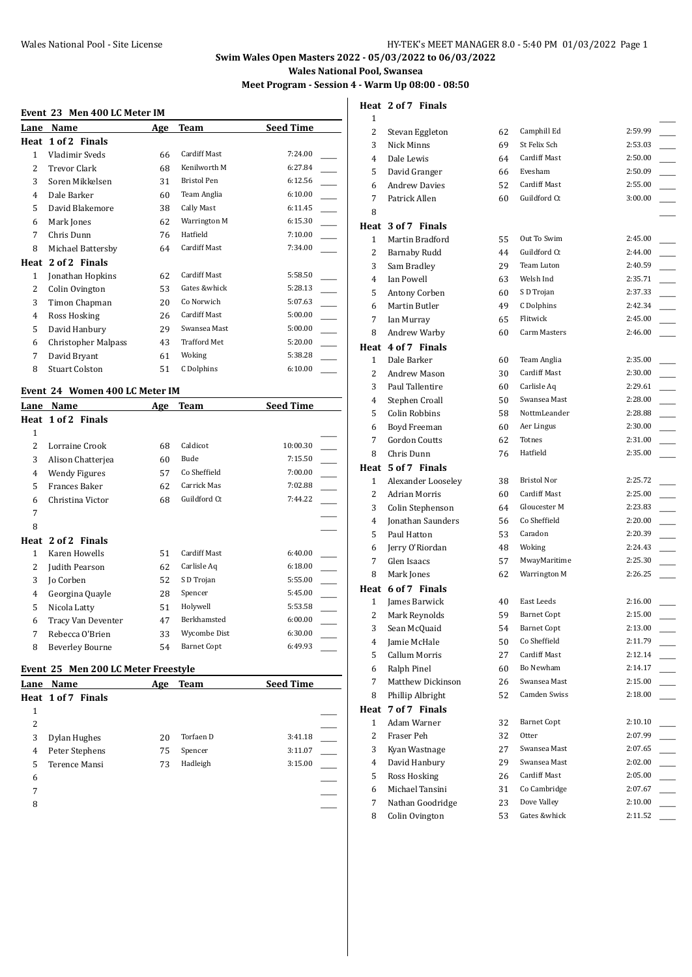# **Swim Wales Open Masters 2022 - 05/03/2022 to 06/03/2022**

**Wales National Pool, Swansea**

# **Meet Program - Session 4 - Warm Up 08:00 - 08:50**

#### **Event 23 Men 400 LC Meter IM**

| Lane | Name                       | Age | Team                | <b>Seed Time</b> |
|------|----------------------------|-----|---------------------|------------------|
| Heat | 1 of 2 Finals              |     |                     |                  |
| 1    | Vladimir Sveds             | 66  | Cardiff Mast        | 7:24.00          |
| 2    | <b>Trevor Clark</b>        | 68  | Kenilworth M        | 6:27.84          |
| 3    | Soren Mikkelsen            | 31  | <b>Bristol Pen</b>  | 6:12.56          |
| 4    | Dale Barker                | 60  | Team Anglia         | 6:10.00          |
| 5    | David Blakemore            | 38  | Cally Mast          | 6:11.45          |
| 6    | Mark Jones                 | 62  | Warrington M        | 6:15.30          |
| 7    | Chris Dunn                 | 76  | Hatfield            | 7:10.00          |
| 8    | Michael Battersby          | 64  | <b>Cardiff Mast</b> | 7:34.00          |
| Heat | 2 of 2 Finals              |     |                     |                  |
| 1    | Jonathan Hopkins           | 62  | Cardiff Mast        | 5:58.50          |
| 2    | Colin Ovington             | 53  | Gates &whick        | 5:28.13          |
| 3    | Timon Chapman              | 20  | Co Norwich          | 5:07.63          |
| 4    | Ross Hosking               | 26  | Cardiff Mast        | 5:00.00          |
| 5    | David Hanbury              | 29  | Swansea Mast        | 5:00.00          |
| 6    | <b>Christopher Malpass</b> | 43  | <b>Trafford Met</b> | 5:20.00          |
| 7    | David Bryant               | 61  | Woking              | 5:38.28          |
| 8    | <b>Stuart Colston</b>      | 51  | C Dolphins          | 6:10.00          |
|      |                            |     |                     |                  |

#### **Event 24 Women 400 LC Meter IM**

| Lane | Name               | Age | <b>Team</b>         | <b>Seed Time</b> |
|------|--------------------|-----|---------------------|------------------|
|      | Heat 1 of 2 Finals |     |                     |                  |
| 1    |                    |     |                     |                  |
| 2    | Lorraine Crook     | 68  | Caldicot            | 10:00.30         |
| 3    | Alison Chatterjea  | 60  | Bude                | 7:15.50          |
| 4    | Wendy Figures      | 57  | Co Sheffield        | 7:00.00          |
| 5    | Frances Baker      | 62  | Carrick Mas         | 7:02.88          |
| 6    | Christina Victor   | 68  | Guildford Ct        | 7:44.22          |
| 7    |                    |     |                     |                  |
| 8    |                    |     |                     |                  |
| Heat | 2 of 2 Finals      |     |                     |                  |
| 1    | Karen Howells      | 51  | <b>Cardiff Mast</b> | 6:40.00          |
| 2    | Judith Pearson     | 62  | Carlisle Aq         | 6:18.00          |
| 3    | Jo Corben          | 52  | S D Trojan          | 5:55.00          |
| 4    | Georgina Quayle    | 28  | Spencer             | 5:45.00          |
| 5    | Nicola Latty       | 51  | Holywell            | 5:53.58          |
| 6    | Tracy Van Deventer | 47  | Berkhamsted         | 6:00.00          |
| 7    | Rebecca O'Brien    | 33  | Wycombe Dist        | 6:30.00          |
| 8    | Beverley Bourne    | 54  | <b>Barnet Copt</b>  | 6:49.93          |

#### **Event 25 Men 200 LC Meter Freestyle**

| Lane | Name               | Age | Team      | <b>Seed Time</b> |  |
|------|--------------------|-----|-----------|------------------|--|
|      | Heat 1 of 7 Finals |     |           |                  |  |
| 1    |                    |     |           |                  |  |
| 2    |                    |     |           |                  |  |
| 3    | Dylan Hughes       | 20  | Torfaen D | 3:41.18          |  |
| 4    | Peter Stephens     | 75  | Spencer   | 3:11.07          |  |
| 5.   | Terence Mansi      | 73  | Hadleigh  | 3:15.00          |  |
| 6    |                    |     |           |                  |  |
| 7    |                    |     |           |                  |  |
| 8    |                    |     |           |                  |  |
|      |                    |     |           |                  |  |

# **Heat 2 of 7 Finals**

| 1            |                      |    |                     |         |
|--------------|----------------------|----|---------------------|---------|
| 2            | Stevan Eggleton      | 62 | Camphill Ed         | 2:59.99 |
| 3            | Nick Minns           | 69 | St Felix Sch        | 2:53.03 |
| 4            | Dale Lewis           | 64 | <b>Cardiff Mast</b> | 2:50.00 |
| 5            | David Granger        | 66 | Evesham             | 2:50.09 |
| 6            | <b>Andrew Davies</b> | 52 | <b>Cardiff Mast</b> | 2:55.00 |
| 7            | Patrick Allen        | 60 | Guildford Ct        | 3:00.00 |
| 8            |                      |    |                     |         |
|              | Heat 3 of 7 Finals   |    |                     |         |
| $\mathbf{1}$ | Martin Bradford      | 55 | Out To Swim         | 2:45.00 |
| 2            | Barnaby Rudd         | 44 | Guildford Ct        | 2:44.00 |
| 3            | Sam Bradley          | 29 | Team Luton          | 2:40.59 |
| 4            | Ian Powell           | 63 | Welsh Ind           | 2:35.71 |
| 5            | Antony Corben        | 60 | S D Trojan          | 2:37.33 |
| 6            | Martin Butler        | 49 | C Dolphins          | 2:42.34 |
| 7            | Ian Murray           | 65 | Flitwick            | 2:45.00 |
| 8            | Andrew Warby         | 60 | Carm Masters        | 2:46.00 |
|              | Heat 4 of 7 Finals   |    |                     |         |
| $\mathbf{1}$ | Dale Barker          | 60 | Team Anglia         | 2:35.00 |
| 2            | Andrew Mason         | 30 | Cardiff Mast        | 2:30.00 |
| 3            | Paul Tallentire      | 60 | Carlisle Aq         | 2:29.61 |
| 4            | Stephen Croall       | 50 | Swansea Mast        | 2:28.00 |
| 5            | Colin Robbins        | 58 | NottmLeander        | 2:28.88 |
| 6            | Boyd Freeman         | 60 | Aer Lingus          | 2:30.00 |
| 7            | <b>Gordon Coutts</b> | 62 | Totnes              | 2:31.00 |
| 8            | Chris Dunn           | 76 | Hatfield            | 2:35.00 |
|              | Heat 5 of 7 Finals   |    |                     |         |
| 1            | Alexander Looseley   | 38 | Bristol Nor         | 2:25.72 |
| 2            | <b>Adrian Morris</b> | 60 | <b>Cardiff Mast</b> | 2:25.00 |
| 3            | Colin Stephenson     | 64 | Gloucester M        | 2:23.83 |
| 4            | Jonathan Saunders    | 56 | Co Sheffield        | 2:20.00 |
| 5            | Paul Hatton          | 53 | Caradon             | 2:20.39 |
| 6            | Jerry O'Riordan      | 48 | Woking              | 2:24.43 |
| 7            | Glen Isaacs          | 57 | MwayMaritime        | 2:25.30 |
| 8            | Mark Jones           | 62 | Warrington M        | 2:26.25 |
|              | Heat 6 of 7 Finals   |    |                     |         |
| $\mathbf{1}$ | James Barwick        | 40 | East Leeds          | 2:16.00 |
| 2            | Mark Reynolds        | 59 | <b>Barnet Copt</b>  | 2:15.00 |
| 3            | Sean McQuaid         | 54 | <b>Barnet Copt</b>  | 2:13.00 |
| 4            | Jamie McHale         | 50 | Co Sheffield        | 2:11.79 |
| 5            | <b>Callum Morris</b> | 27 | Cardiff Mast        | 2:12.14 |
| 6            | Ralph Pinel          | 60 | Bo Newham           | 2:14.17 |
| 7            | Matthew Dickinson    | 26 | Swansea Mast        | 2:15.00 |
| 8            | Phillip Albright     | 52 | Camden Swiss        | 2:18.00 |
| Heat         | 7 of 7 Finals        |    |                     |         |
| $\mathbf{1}$ | Adam Warner          | 32 | <b>Barnet Copt</b>  | 2:10.10 |
| 2            | Fraser Peh           | 32 | Otter               | 2:07.99 |
| 3            | Kyan Wastnage        | 27 | Swansea Mast        | 2:07.65 |
| 4            | David Hanbury        | 29 | Swansea Mast        | 2:02.00 |
| 5            | Ross Hosking         | 26 | Cardiff Mast        | 2:05.00 |
| 6            | Michael Tansini      | 31 | Co Cambridge        | 2:07.67 |
| 7            | Nathan Goodridge     | 23 | Dove Valley         | 2:10.00 |
| 8            | Colin Ovington       | 53 | Gates &whick        | 2:11.52 |
|              |                      |    |                     |         |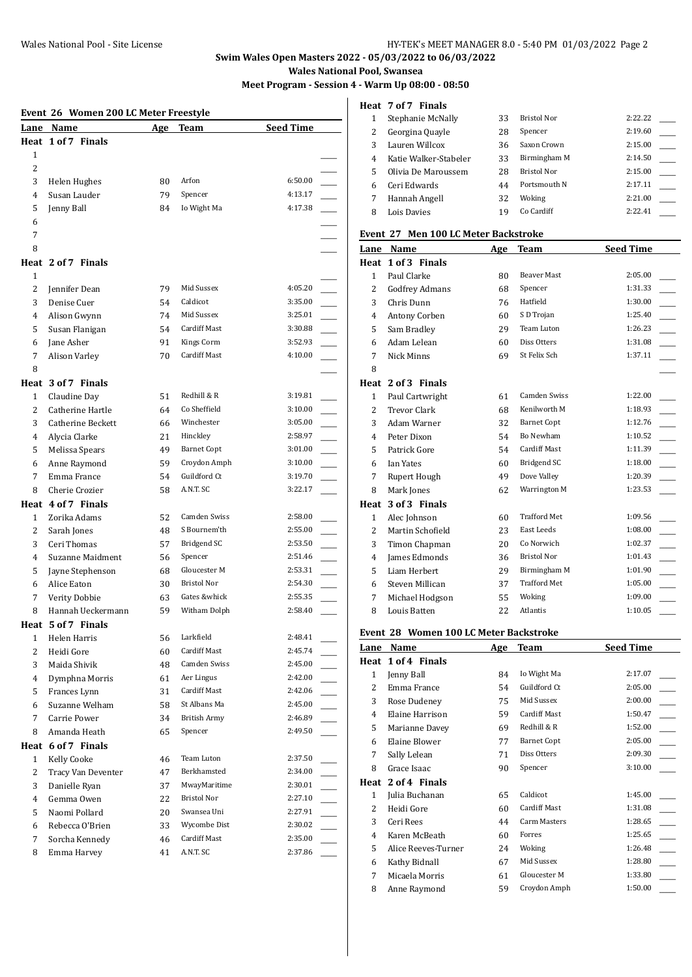# **Swim Wales Open Masters 2022 - 05/03/2022 to 06/03/2022**

**Wales National Pool, Swansea**

**Meet Program - Session 4 - Warm Up 08:00 - 08:50**

#### **Event 26 Women 200 LC Meter Freestyle**

|                | women 200 no meter rreesty re |          |                    | <b>Seed Time</b> |  |
|----------------|-------------------------------|----------|--------------------|------------------|--|
|                | Lane Name                     | Age      | <b>Team</b>        |                  |  |
| $\mathbf{1}$   | Heat 1 of 7 Finals            |          |                    |                  |  |
| 2              |                               |          |                    |                  |  |
|                |                               |          | Arfon              | 6:50.00          |  |
| 3              | Helen Hughes                  | 80<br>79 | Spencer            | 4:13.17          |  |
| 4              | Susan Lauder                  |          |                    | 4:17.38          |  |
| 5              | Jenny Ball                    | 84       | Io Wight Ma        |                  |  |
| 6              |                               |          |                    |                  |  |
| 7              |                               |          |                    |                  |  |
| 8              |                               |          |                    |                  |  |
|                | Heat 2 of 7 Finals            |          |                    |                  |  |
| 1              |                               |          |                    |                  |  |
| 2              | Jennifer Dean                 | 79       | Mid Sussex         | 4:05.20          |  |
| 3              | Denise Cuer                   | 54       | Caldicot           | 3:35.00          |  |
| 4              | Alison Gwynn                  | 74       | Mid Sussex         | 3:25.01          |  |
| 5              | Susan Flanigan                | 54       | Cardiff Mast       | 3:30.88          |  |
| 6              | Jane Asher                    | 91       | Kings Corm         | 3:52.93          |  |
| 7              | Alison Varley                 | 70       | Cardiff Mast       | 4:10.00          |  |
| 8              |                               |          |                    |                  |  |
|                | Heat 3 of 7 Finals            |          |                    |                  |  |
| $\mathbf{1}$   | Claudine Day                  | 51       | Redhill & R        | 3:19.81          |  |
| 2              | Catherine Hartle              | 64       | Co Sheffield       | 3:10.00          |  |
| 3              | Catherine Beckett             | 66       | Winchester         | 3:05.00          |  |
| 4              | Alycia Clarke                 | 21       | Hinckley           | 2:58.97          |  |
| 5              | Melissa Spears                | 49       | <b>Barnet Copt</b> | 3:01.00          |  |
| 6              | Anne Raymond                  | 59       | Croydon Amph       | 3:10.00          |  |
| 7              | Emma France                   | 54       | Guildford Ct       | 3:19.70          |  |
| 8              | Cherie Crozier                | 58       | A.N.T. SC          | 3:22.17          |  |
|                | Heat 4 of 7 Finals            |          |                    |                  |  |
| $\mathbf{1}$   | Zorika Adams                  | 52       | Camden Swiss       | 2:58.00          |  |
| 2              | Sarah Jones                   | 48       | S Bournem'th       | 2:55.00          |  |
| 3              | Ceri Thomas                   | 57       | Bridgend SC        | 2:53.50          |  |
| 4              | Suzanne Maidment              | 56       | Spencer            | 2:51.46          |  |
| 5              | Jayne Stephenson              | 68       | Gloucester M       | 2:53.31          |  |
| 6              | Alice Eaton                   | 30       | Bristol Nor        | 2:54.30          |  |
| 7              | Verity Dobbie                 | 63       | Gates &whick       | 2:55.35          |  |
| 8              | Hannah Ueckermann             | 59       | Witham Dolph       | 2:58.40          |  |
|                | Heat 5 of 7 Finals            |          |                    |                  |  |
| $\mathbf{1}$   | Helen Harris                  | 56       | Larkfield          | 2:48.41          |  |
| 2              | Heidi Gore                    | 60       | Cardiff Mast       | 2:45.74          |  |
| 3              | Maida Shivik                  | 48       | Camden Swiss       | 2:45.00          |  |
| 4              | Dymphna Morris                | 61       | Aer Lingus         | 2:42.00          |  |
| 5              | Frances Lynn                  | 31       | Cardiff Mast       | 2:42.06          |  |
| 6              | Suzanne Welham                | 58       | St Albans Ma       | 2:45.00          |  |
| 7              | Carrie Power                  | 34       | British Army       | 2:46.89          |  |
| 8              | Amanda Heath                  | 65       | Spencer            | 2:49.50          |  |
| Heat           | 6 of 7 Finals                 |          |                    |                  |  |
| 1              | Kelly Cooke                   | 46       | Team Luton         | 2:37.50          |  |
| 2              | Tracy Van Deventer            | 47       | Berkhamsted        | 2:34.00          |  |
| 3              | Danielle Ryan                 | 37       | MwayMaritime       | 2:30.01          |  |
| $\overline{4}$ | Gemma Owen                    | 22       | <b>Bristol Nor</b> | 2:27.10          |  |
| 5              | Naomi Pollard                 | 20       | Swansea Uni        | 2:27.91          |  |
| 6              | Rebecca O'Brien               | 33       | Wycombe Dist       | 2:30.02          |  |
| 7              | Sorcha Kennedy                | 46       | Cardiff Mast       | 2:35.00          |  |
| 8              | Emma Harvey                   | 41       | A.N.T. SC          | 2:37.86          |  |
|                |                               |          |                    |                  |  |

#### **Heat 7 of 7 Finals**

|   | Stephanie McNally     | 33 | <b>Bristol Nor</b> | 2:22.22 |
|---|-----------------------|----|--------------------|---------|
|   | Georgina Quayle       | 28 | Spencer            | 2:19.60 |
|   | Lauren Willcox        | 36 | Saxon Crown        | 2:15.00 |
| 4 | Katie Walker-Stabeler | 33 | Birmingham M       | 2:14.50 |
| 5 | Olivia De Maroussem   | 28 | <b>Bristol Nor</b> | 2:15.00 |
| 6 | Ceri Edwards          | 44 | Portsmouth N       | 2:17.11 |
|   | Hannah Angell         | 32 | Woking             | 2:21.00 |
|   | Lois Davies           | 19 | Co Cardiff         | 2:22.41 |

#### **Event 27 Men 100 LC Meter Backstroke**

| Lane           | Name                                             | Age | <b>Team</b>         | <b>Seed Time</b> |
|----------------|--------------------------------------------------|-----|---------------------|------------------|
| Heat           | 1 of 3 Finals                                    |     |                     |                  |
| $\mathbf{1}$   | Paul Clarke                                      | 80  | <b>Beaver Mast</b>  | 2:05.00          |
| $\overline{c}$ | <b>Godfrey Admans</b>                            | 68  | Spencer             | 1:31.33          |
| 3              | Chris Dunn                                       | 76  | Hatfield            | 1:30.00          |
| 4              | Antony Corben                                    | 60  | S D Trojan          | 1:25.40          |
| 5              | Sam Bradley                                      | 29  | Team Luton          | 1:26.23          |
| 6              | Adam Lelean                                      | 60  | Diss Otters         | 1:31.08          |
| 7              | Nick Minns                                       | 69  | St Felix Sch        | 1:37.11          |
| 8              |                                                  |     |                     |                  |
|                | Heat 2 of 3 Finals                               |     |                     |                  |
| $\mathbf{1}$   | Paul Cartwright                                  | 61  | Camden Swiss        | 1:22.00          |
| 2              | <b>Trevor Clark</b>                              | 68  | Kenilworth M        | 1:18.93          |
| 3              | Adam Warner                                      | 32  | <b>Barnet Copt</b>  | 1:12.76          |
| 4              | Peter Dixon                                      | 54  | Bo Newham           | 1:10.52          |
| 5              | Patrick Gore                                     | 54  | <b>Cardiff Mast</b> | 1:11.39          |
| 6              | <b>Ian Yates</b>                                 | 60  | <b>Bridgend SC</b>  | 1:18.00          |
| 7              | Rupert Hough                                     | 49  | Dove Valley         | 1:20.39          |
| 8              | Mark Jones                                       | 62  | Warrington M        | 1:23.53          |
| Heat           | 3 of 3 Finals                                    |     |                     |                  |
| $\mathbf{1}$   | Alec Johnson                                     | 60  | <b>Trafford Met</b> | 1:09.56          |
| $\overline{2}$ | Martin Schofield                                 | 23  | East Leeds          | 1:08.00          |
| 3              | Timon Chapman                                    | 20  | Co Norwich          | 1:02.37          |
| $\overline{4}$ | James Edmonds                                    | 36  | <b>Bristol Nor</b>  | 1:01.43          |
| 5              | Liam Herbert                                     | 29  | Birmingham M        | 1:01.90          |
| 6              | Steven Millican                                  | 37  | <b>Trafford Met</b> | 1:05.00          |
| 7              | Michael Hodgson                                  | 55  | Woking              | 1:09.00          |
| 8              | Louis Batten                                     | 22  | Atlantis            | 1:10.05          |
|                | Event 28 Women 100 LC Meter Backstroke           |     |                     |                  |
| Lane           | Name                                             | Age | Team                | <b>Seed Time</b> |
|                | $\mathbf{u}_{\alpha\alpha}$ + 1 of $\ell$ Finale |     |                     |                  |

| Lane | Name                | Age | <b>Team</b>         | <b>Seed Time</b> |
|------|---------------------|-----|---------------------|------------------|
|      | Heat 1 of 4 Finals  |     |                     |                  |
| 1    | Jenny Ball          | 84  | Io Wight Ma         | 2:17.07          |
| 2    | Emma France         | 54  | Guildford Ct        | 2:05.00          |
| 3    | Rose Dudeney        | 75  | Mid Sussex          | 2:00.00          |
| 4    | Elaine Harrison     | 59  | <b>Cardiff Mast</b> | 1:50.47          |
| 5    | Marianne Davey      | 69  | Redhill & R         | 1:52.00          |
| 6    | Elaine Blower       | 77  | <b>Barnet Copt</b>  | 2:05.00          |
| 7    | Sally Lelean        | 71  | Diss Otters         | 2:09.30          |
| 8    | Grace Isaac         | 90  | Spencer             | 3:10.00          |
| Heat | 2 of 4 Finals       |     |                     |                  |
| 1    | Julia Buchanan      | 65  | Caldicot            | 1:45.00          |
| 2    | Heidi Gore          | 60  | <b>Cardiff Mast</b> | 1:31.08          |
| 3    | Ceri Rees           | 44  | Carm Masters        | 1:28.65          |
| 4    | Karen McBeath       | 60  | Forres              | 1:25.65          |
| 5    | Alice Reeves-Turner | 24  | Woking              | 1:26.48          |
| 6    | Kathy Bidnall       | 67  | Mid Sussex          | 1:28.80          |
| 7    | Micaela Morris      | 61  | Gloucester M        | 1:33.80          |
| 8    | Anne Raymond        | 59  | Croydon Amph        | 1:50.00          |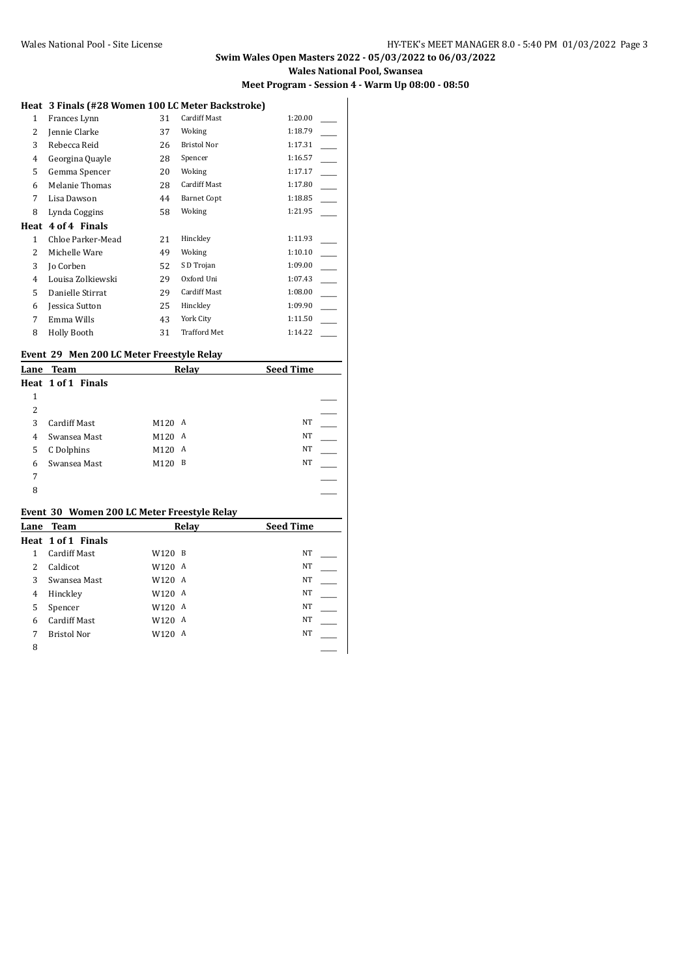#### **Swim Wales Open Masters 2022 - 05/03/2022 to 06/03/2022 Wales National Pool, Swansea Meet Program - Session 4 - Warm Up 08:00 - 08:50**

#### **Heat 3 Finals (#28 Women 100 LC Meter Backstroke)**

|              |                   |    | <u>omon 200 20110001 Bachon one j</u> |         |
|--------------|-------------------|----|---------------------------------------|---------|
| $\mathbf{1}$ | Frances Lynn      | 31 | Cardiff Mast                          | 1:20.00 |
| 2            | Jennie Clarke     | 37 | Woking                                | 1:18.79 |
| 3            | Rebecca Reid      | 26 | <b>Bristol Nor</b>                    | 1:17.31 |
| 4            | Georgina Quayle   | 28 | Spencer                               | 1:16.57 |
| 5            | Gemma Spencer     | 20 | Woking                                | 1:17.17 |
| 6            | Melanie Thomas    | 28 | Cardiff Mast                          | 1:17.80 |
| 7            | Lisa Dawson       | 44 | <b>Barnet Copt</b>                    | 1:18.85 |
| 8            | Lynda Coggins     | 58 | Woking                                | 1:21.95 |
| Heat         | 4 of 4 Finals     |    |                                       |         |
| 1            | Chloe Parker-Mead | 21 | Hinckley                              | 1:11.93 |
| 2            | Michelle Ware     | 49 | Woking                                | 1:10.10 |
| 3            | Jo Corben         | 52 | S D Trojan                            | 1:09.00 |
| 4            | Louisa Zolkiewski | 29 | Oxford Uni                            | 1:07.43 |
| 5            | Danielle Stirrat  | 29 | <b>Cardiff Mast</b>                   | 1:08.00 |
| 6            | Jessica Sutton    | 25 | Hinckley                              | 1:09.90 |
| 7            |                   |    | York City                             | 1:11.50 |
|              | Emma Wills        | 43 |                                       |         |

#### **Event 29 Men 200 LC Meter Freestyle Relay**

| Lane | Team                |        | Relay | <b>Seed Time</b> |  |
|------|---------------------|--------|-------|------------------|--|
|      | Heat 1 of 1 Finals  |        |       |                  |  |
| 1    |                     |        |       |                  |  |
| 2    |                     |        |       |                  |  |
| 3    | <b>Cardiff Mast</b> | M120 A |       | NT               |  |
| 4    | Swansea Mast        | M120   | A     | <b>NT</b>        |  |
| 5    | C Dolphins          | M120 A |       | <b>NT</b>        |  |
| 6    | Swansea Mast        | M120   | B     | <b>NT</b>        |  |
| 7    |                     |        |       |                  |  |
| 8    |                     |        |       |                  |  |
|      |                     |        |       |                  |  |

# **Event 30 Women 200 LC Meter Freestyle Relay**

| Lane | Team                |        | Relay | <b>Seed Time</b> |  |
|------|---------------------|--------|-------|------------------|--|
|      | Heat 1 of 1 Finals  |        |       |                  |  |
| 1    | <b>Cardiff Mast</b> | W120 B |       | NT               |  |
| 2    | Caldicot            | W120 A |       | NT               |  |
| 3    | Swansea Mast        | W120 A |       | NT               |  |
| 4    | Hinckley            | W120 A |       | NT               |  |
| 5    | Spencer             | W120 A |       | NT               |  |
| 6    | <b>Cardiff Mast</b> | W120 A |       | NT               |  |
| 7    | <b>Bristol Nor</b>  | W120 A |       | NT               |  |
| 8    |                     |        |       |                  |  |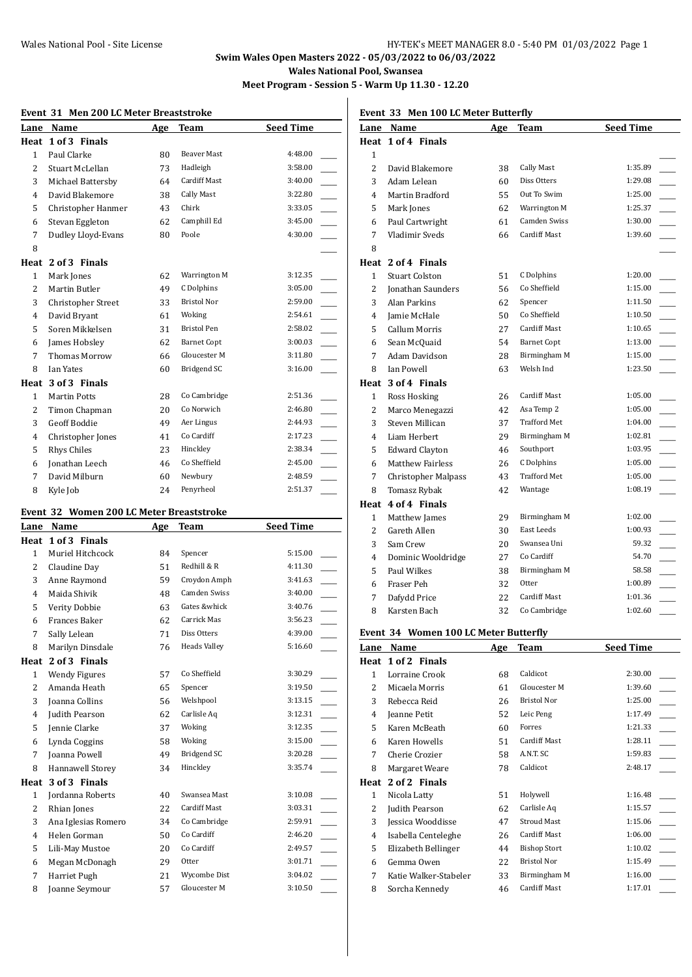# **Swim Wales Open Masters 2022 - 05/03/2022 to 06/03/2022 Wales National Pool, Swansea**

**Meet Program - Session 5 - Warm Up 11.30 - 12.20**

#### **Event 31 Men 200 LC Meter Breaststroke**

| Lane           | Name                      | Age | Team               | <b>Seed Time</b>          |
|----------------|---------------------------|-----|--------------------|---------------------------|
| Heat           | 1 of 3 Finals             |     |                    |                           |
| $\mathbf{1}$   | Paul Clarke               | 80  | <b>Beaver Mast</b> | 4:48.00                   |
| 2              | Stuart McLellan           | 73  | Hadleigh           | 3:58.00                   |
| 3              | Michael Battersby         | 64  | Cardiff Mast       | 3:40.00                   |
| $\overline{4}$ | David Blakemore           | 38  | Cally Mast         | 3:22.80                   |
| 5              | Christopher Hanmer        | 43  | Chirk              | 3:33.05<br>$\overline{a}$ |
| 6              | Stevan Eggleton           | 62  | Camphill Ed        | 3:45.00                   |
| 7              | Dudley Lloyd-Evans        | 80  | Poole              | 4:30.00                   |
| 8              |                           |     |                    |                           |
| Heat           | 2 of 3 Finals             |     |                    |                           |
| $\mathbf{1}$   | Mark Jones                | 62  | Warrington M       | 3:12.35                   |
| 2              | Martin Butler             | 49  | C Dolphins         | 3:05.00                   |
| 3              | <b>Christopher Street</b> | 33  | <b>Bristol Nor</b> | 2:59.00                   |
| 4              | David Bryant              | 61  | Woking             | 2:54.61                   |
| 5              | Soren Mikkelsen           | 31  | <b>Bristol Pen</b> | 2:58.02                   |
| 6              | James Hobsley             | 62  | <b>Barnet Copt</b> | 3:00.03                   |
| 7              | <b>Thomas Morrow</b>      | 66  | Gloucester M       | 3:11.80                   |
| 8              | Ian Yates                 | 60  | Bridgend SC        | 3:16.00                   |
| Heat           | 3 of 3 Finals             |     |                    |                           |
| $\mathbf{1}$   | <b>Martin Potts</b>       | 28  | Co Cambridge       | 2:51.36                   |
| $\overline{c}$ | Timon Chapman             | 20  | Co Norwich         | 2:46.80                   |
| 3              | <b>Geoff Boddie</b>       | 49  | Aer Lingus         | 2:44.93                   |
| 4              | Christopher Jones         | 41  | Co Cardiff         | 2:17.23                   |
| 5              | Rhys Chiles               | 23  | Hinckley           | 2:38.34                   |
| 6              | Jonathan Leech            | 46  | Co Sheffield       | 2:45.00                   |
| 7              | David Milburn             | 60  | Newbury            | 2:48.59                   |
| 8              | Kyle Job                  | 24  | Penyrheol          | 2:51.37                   |

#### **Event 32 Women 200 LC Meter Breaststroke**

| Lane           | Name                 | Age | <b>Team</b>         | <b>Seed Time</b> |
|----------------|----------------------|-----|---------------------|------------------|
| Heat           | 1 of 3 Finals        |     |                     |                  |
| $\mathbf{1}$   | Muriel Hitchcock     | 84  | Spencer             | 5:15.00          |
| $\overline{2}$ | Claudine Day         | 51  | Redhill & R         | 4:11.30          |
| 3              | Anne Raymond         | 59  | Croydon Amph        | 3:41.63          |
| 4              | Maida Shivik         | 48  | <b>Camden Swiss</b> | 3:40.00          |
| 5              | Verity Dobbie        | 63  | Gates &whick        | 3:40.76          |
| 6              | <b>Frances Baker</b> | 62  | Carrick Mas         | 3:56.23          |
| 7              | Sally Lelean         | 71  | Diss Otters         | 4:39.00          |
| 8              | Marilyn Dinsdale     | 76  | <b>Heads Valley</b> | 5:16.60          |
| Heat           | 2 of 3 Finals        |     |                     |                  |
| $\mathbf{1}$   | Wendy Figures        | 57  | Co Sheffield        | 3:30.29          |
| $\overline{2}$ | Amanda Heath         | 65  | Spencer             | 3:19.50          |
| 3              | Joanna Collins       | 56  | Welshpool           | 3:13.15          |
| 4              | Judith Pearson       | 62  | Carlisle Aq         | 3:12.31          |
| 5              | Jennie Clarke        | 37  | Woking              | 3:12.35          |
| 6              | Lynda Coggins        | 58  | Woking              | 3:15.00          |
| 7              | Joanna Powell        | 49  | Bridgend SC         | 3:20.28          |
| 8              | Hannawell Storey     | 34  | Hinckley            | 3:35.74          |
| Heat           | 3 of 3 Finals        |     |                     |                  |
| $\mathbf{1}$   | Jordanna Roberts     | 40  | Swansea Mast        | 3:10.08          |
| 2              | Rhian Jones          | 22  | <b>Cardiff Mast</b> | 3:03.31          |
| 3              | Ana Iglesias Romero  | 34  | Co Cambridge        | 2:59.91          |
| 4              | Helen Gorman         | 50  | Co Cardiff          | 2:46.20          |
| 5              | Lili-May Mustoe      | 20  | Co Cardiff          | 2:49.57          |
| 6              | Megan McDonagh       | 29  | Otter               | 3:01.71          |
| 7              | Harriet Pugh         | 21  | Wycombe Dist        | 3:04.02          |
| 8              | Joanne Seymour       | 57  | Gloucester M        | 3:10.50          |

**Event 33 Men 100 LC Meter Butterfly**

| Lane           | Name                    | <u>Age</u> | <b>Team</b>         | <b>Seed Time</b> |  |
|----------------|-------------------------|------------|---------------------|------------------|--|
|                | Heat 1 of 4 Finals      |            |                     |                  |  |
| $\mathbf{1}$   |                         |            |                     |                  |  |
| 2              | David Blakemore         | 38         | Cally Mast          | 1:35.89          |  |
| 3              | Adam Lelean             | 60         | Diss Otters         | 1:29.08          |  |
| 4              | Martin Bradford         | 55         | Out To Swim         | 1:25.00          |  |
| 5              | Mark Jones              | 62         | Warrington M        | 1:25.37          |  |
| 6              | Paul Cartwright         | 61         | Camden Swiss        | 1:30.00          |  |
| 7              | Vladimir Sveds          | 66         | Cardiff Mast        | 1:39.60          |  |
| 8              |                         |            |                     |                  |  |
|                | Heat 2 of 4 Finals      |            |                     |                  |  |
| $\mathbf{1}$   | <b>Stuart Colston</b>   | 51         | C Dolphins          | 1:20.00          |  |
| 2              | Jonathan Saunders       | 56         | Co Sheffield        | 1:15.00          |  |
| 3              | Alan Parkins            | 62         | Spencer             | 1:11.50          |  |
| 4              | Jamie McHale            | 50         | Co Sheffield        | 1:10.50          |  |
| 5              | Callum Morris           | 27         | Cardiff Mast        | 1:10.65          |  |
| 6              | Sean McQuaid            | 54         | <b>Barnet Copt</b>  | 1:13.00          |  |
| 7              | Adam Davidson           | 28         | Birmingham M        | 1:15.00          |  |
| 8              | Ian Powell              | 63         | Welsh Ind           | 1:23.50          |  |
|                | Heat 3 of 4 Finals      |            |                     |                  |  |
| $\mathbf{1}$   | Ross Hosking            | 26         | Cardiff Mast        | 1:05.00          |  |
| $\overline{c}$ | Marco Menegazzi         | 42         | Asa Temp 2          | 1:05.00          |  |
| 3              | Steven Millican         | 37         | <b>Trafford Met</b> | 1:04.00          |  |
| 4              | Liam Herbert            | 29         | Birmingham M        | 1:02.81          |  |
| 5              | Edward Clayton          | 46         | Southport           | 1:03.95          |  |
| 6              | <b>Matthew Fairless</b> | 26         | C Dolphins          | 1:05.00          |  |
| 7              | Christopher Malpass     | 43         | <b>Trafford Met</b> | 1:05.00          |  |
| 8              | <b>Tomasz Rybak</b>     | 42         | Wantage             | 1:08.19          |  |
|                | Heat 4 of 4 Finals      |            |                     |                  |  |
| $\mathbf{1}$   | Matthew James           | 29         | Birmingham M        | 1:02.00          |  |
| 2              | Gareth Allen            | 30         | East Leeds          | 1:00.93          |  |
| 3              | Sam Crew                | 20         | Swansea Uni         | 59.32            |  |
| $\overline{4}$ | Dominic Wooldridge      | 27         | Co Cardiff          | 54.70            |  |
| 5              | Paul Wilkes             | 38         | Birmingham M        | 58.58            |  |
| 6              | Fraser Peh              | 32         | Otter               | 1:00.89          |  |
| 7              | Dafydd Price            | 22         | <b>Cardiff Mast</b> | 1:01.36          |  |
| 8              | Karsten Bach            | 32         | Co Cambridge        | 1:02.60          |  |
|                |                         |            |                     |                  |  |

#### **Event 34 Women 100 LC Meter Butterfly**

| Lane         | Name                  | Age | <b>Team</b>         | <b>Seed Time</b> |
|--------------|-----------------------|-----|---------------------|------------------|
| Heat         | 1 of 2 Finals         |     |                     |                  |
| $\mathbf{1}$ | Lorraine Crook        | 68  | Caldicot            | 2:30.00          |
| 2            | Micaela Morris        | 61  | Gloucester M        | 1:39.60          |
| 3            | Rebecca Reid          | 26  | <b>Bristol Nor</b>  | 1:25.00          |
| 4            | Jeanne Petit          | 52  | Leic Peng           | 1:17.49          |
| 5            | Karen McBeath         | 60  | Forres              | 1:21.33          |
| 6            | Karen Howells         | 51  | <b>Cardiff Mast</b> | 1:28.11          |
| 7            | Cherie Crozier        | 58  | A.N.T. SC           | 1:59.83          |
| 8            | Margaret Weare        | 78  | Caldicot            | 2:48.17          |
| Heat         | 2 of 2 Finals         |     |                     |                  |
| $\mathbf{1}$ | Nicola Latty          | 51  | Holywell            | 1:16.48          |
| 2            | Judith Pearson        | 62  | Carlisle Aq         | 1:15.57          |
| 3            | Jessica Wooddisse     | 47  | <b>Stroud Mast</b>  | 1:15.06          |
| 4            | Isabella Centeleghe   | 26  | Cardiff Mast        | 1:06.00          |
| 5            | Elizabeth Bellinger   | 44  | <b>Bishop Stort</b> | 1:10.02          |
| 6            | Gemma Owen            | 22  | <b>Bristol Nor</b>  | 1:15.49          |
| 7            | Katie Walker-Stabeler | 33  | Birmingham M        | 1:16.00          |
| 8            | Sorcha Kennedy        | 46  | <b>Cardiff Mast</b> | 1:17.01          |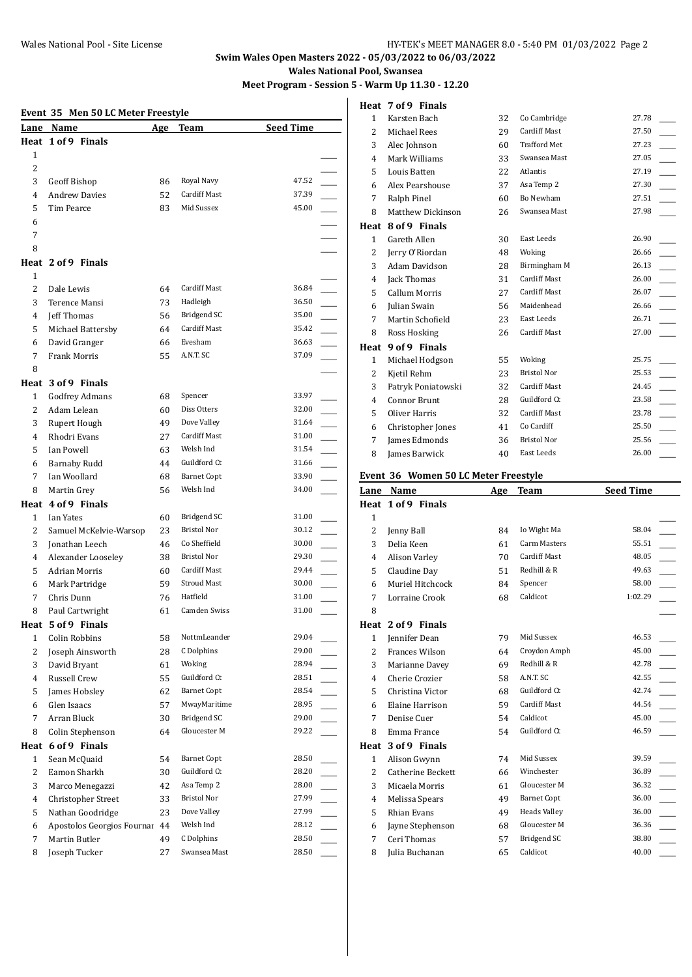# **Swim Wales Open Masters 2022 - 05/03/2022 to 06/03/2022**

**Wales National Pool, Swansea**

**Meet Program - Session 5 - Warm Up 11.30 - 12.20**

**Heat 7 of 9 Finals**

#### **Event 35 Men 50 LC Meter Freestyle**

| Lane           | Name                       | <u>Age</u> | Team                | <b>Seed Time</b> |  |
|----------------|----------------------------|------------|---------------------|------------------|--|
|                | Heat 1 of 9 Finals         |            |                     |                  |  |
| 1              |                            |            |                     |                  |  |
| 2              |                            |            |                     |                  |  |
| 3              | Geoff Bishop               | 86         | Royal Navy          | 47.52            |  |
| 4              | <b>Andrew Davies</b>       | 52         | Cardiff Mast        | 37.39            |  |
| 5              | Tim Pearce                 | 83         | Mid Sussex          | 45.00            |  |
| 6              |                            |            |                     |                  |  |
| 7              |                            |            |                     |                  |  |
| 8              |                            |            |                     |                  |  |
|                | Heat 2 of 9 Finals         |            |                     |                  |  |
| 1              |                            |            |                     |                  |  |
| 2              | Dale Lewis                 | 64         | <b>Cardiff Mast</b> | 36.84            |  |
| 3              | Terence Mansi              | 73         | Hadleigh            | 36.50            |  |
| 4              | Jeff Thomas                | 56         | Bridgend SC         | 35.00            |  |
| 5              | Michael Battersby          | 64         | <b>Cardiff Mast</b> | 35.42            |  |
| 6              | David Granger              | 66         | Evesham             | 36.63            |  |
| 7              | Frank Morris               | 55         | A.N.T. SC           | 37.09            |  |
| 8              |                            |            |                     |                  |  |
|                | Heat 3 of 9 Finals         |            |                     |                  |  |
| 1              | <b>Godfrey Admans</b>      | 68         | Spencer             | 33.97            |  |
| $\overline{2}$ | Adam Lelean                | 60         | Diss Otters         | 32.00            |  |
| 3              | Rupert Hough               | 49         | Dove Valley         | 31.64            |  |
| 4              | Rhodri Evans               | 27         | <b>Cardiff Mast</b> | 31.00            |  |
| 5              | Ian Powell                 | 63         | Welsh Ind           | 31.54            |  |
| 6              | <b>Barnaby Rudd</b>        | 44         | Guildford Ct        | 31.66            |  |
| 7              | Ian Woollard               | 68         | <b>Barnet Copt</b>  | 33.90            |  |
| 8              | Martin Grey                | 56         | Welsh Ind           | 34.00            |  |
|                | Heat 4 of 9 Finals         |            |                     |                  |  |
| 1              | Ian Yates                  | 60         | Bridgend SC         | 31.00            |  |
| $\overline{2}$ | Samuel McKelvie-Warsop     | 23         | <b>Bristol Nor</b>  | 30.12            |  |
| 3              | Jonathan Leech             | 46         | Co Sheffield        | 30.00            |  |
| 4              | Alexander Looseley         | 38         | Bristol Nor         | 29.30            |  |
| 5              | <b>Adrian Morris</b>       | 60         | Cardiff Mast        | 29.44            |  |
| 6              | Mark Partridge             | 59         | <b>Stroud Mast</b>  | 30.00            |  |
| 7              | Chris Dunn                 | 76         | Hatfield            | 31.00            |  |
| 8              | Paul Cartwright            | 61         | Camden Swiss        | 31.00            |  |
|                | Heat 5 of 9 Finals         |            |                     |                  |  |
| 1              | Colin Robbins              | 58         | NottmLeander        | 29.04            |  |
| 2              | Joseph Ainsworth           | 28         | C Dolphins          | 29.00            |  |
| 3              | David Bryant               | 61         | Woking              | 28.94            |  |
| 4              | Russell Crew               | 55         | Guildford Ct        | 28.51            |  |
| 5              | James Hobsley              | 62         | <b>Barnet Copt</b>  | 28.54            |  |
| 6              | Glen Isaacs                | 57         | MwayMaritime        | 28.95            |  |
| 7              | Arran Bluck                | 30         | <b>Bridgend SC</b>  | 29.00            |  |
| 8              | Colin Stephenson           | 64         | Gloucester M        | 29.22            |  |
| Heat           | 6 of 9 Finals              |            |                     |                  |  |
| 1              | Sean McQuaid               |            | <b>Barnet Copt</b>  | 28.50            |  |
| $\overline{c}$ | Eamon Sharkh               | 54<br>30   | Guildford Ct        | 28.20            |  |
| 3              | Marco Menegazzi            | 42         | Asa Temp 2          | 28.00            |  |
|                | Christopher Street         |            | Bristol Nor         | 27.99            |  |
| 4<br>5         | Nathan Goodridge           | 33<br>23   | Dove Valley         | 27.99            |  |
|                | Apostolos Georgios Fournar | 44         | Welsh Ind           | 28.12            |  |
| 6<br>7         | Martin Butler              | 49         | C Dolphins          | 28.50            |  |
| 8              | Joseph Tucker              | 27         | Swansea Mast        | 28.50            |  |
|                |                            |            |                     |                  |  |

| 1              | Karsten Bach         | 32 | Co Cambridge        | 27.78 |  |
|----------------|----------------------|----|---------------------|-------|--|
| $\overline{c}$ | Michael Rees         | 29 | <b>Cardiff Mast</b> | 27.50 |  |
| 3              | Alec Johnson         | 60 | <b>Trafford Met</b> | 27.23 |  |
| 4              | Mark Williams        | 33 | Swansea Mast        | 27.05 |  |
| 5              | Louis Batten         | 22 | Atlantis            | 27.19 |  |
| 6              | Alex Pearshouse      | 37 | Asa Temp 2          | 27.30 |  |
| 7              | Ralph Pinel          | 60 | Bo Newham           | 27.51 |  |
| 8              | Matthew Dickinson    | 26 | Swansea Mast        | 27.98 |  |
| Heat           | 8 of 9 Finals        |    |                     |       |  |
| $\mathbf{1}$   | Gareth Allen         | 30 | East Leeds          | 26.90 |  |
| 2              | Jerry O'Riordan      | 48 | Woking              | 26.66 |  |
| 3              | Adam Davidson        | 28 | Birmingham M        | 26.13 |  |
| 4              | Jack Thomas          | 31 | Cardiff Mast        | 26.00 |  |
| 5              | <b>Callum Morris</b> | 27 | Cardiff Mast        | 26.07 |  |
| 6              | Julian Swain         | 56 | Maidenhead          | 26.66 |  |
| 7              | Martin Schofield     | 23 | East Leeds          | 26.71 |  |
| 8              | Ross Hosking         | 26 | Cardiff Mast        | 27.00 |  |
| Heat           | 9 of 9 Finals        |    |                     |       |  |
| $\mathbf{1}$   | Michael Hodgson      | 55 | Woking              | 25.75 |  |
| 2              | Kjetil Rehm          | 23 | <b>Bristol Nor</b>  | 25.53 |  |
| 3              | Patryk Poniatowski   | 32 | <b>Cardiff Mast</b> | 24.45 |  |
| 4              | <b>Connor Brunt</b>  | 28 | Guildford Ct        | 23.58 |  |
| 5              | Oliver Harris        | 32 | <b>Cardiff Mast</b> | 23.78 |  |
| 6              | Christopher Jones    | 41 | Co Cardiff          | 25.50 |  |
| 7              | James Edmonds        | 36 | <b>Bristol Nor</b>  | 25.56 |  |
| 8              | James Barwick        | 40 | East Leeds          | 26.00 |  |

#### **Event 36 Women 50 LC Meter Freestyle**

| Lane           | Name                     | Age | <b>Team</b>         | <b>Seed Time</b> |  |
|----------------|--------------------------|-----|---------------------|------------------|--|
|                | Heat 1 of 9 Finals       |     |                     |                  |  |
| $\mathbf{1}$   |                          |     |                     |                  |  |
| $\overline{2}$ | Jenny Ball               | 84  | Io Wight Ma         | 58.04            |  |
| 3              | Delia Keen               | 61  | <b>Carm Masters</b> | 55.51            |  |
| 4              | Alison Varley            | 70  | <b>Cardiff Mast</b> | 48.05            |  |
| 5              | Claudine Day             | 51  | Redhill & R         | 49.63            |  |
| 6              | Muriel Hitchcock         | 84  | Spencer             | 58.00            |  |
| 7              | Lorraine Crook           | 68  | Caldicot            | 1:02.29          |  |
| 8              |                          |     |                     |                  |  |
| Heat           | 2 of 9 Finals            |     |                     |                  |  |
| $\mathbf{1}$   | <b>Jennifer Dean</b>     | 79  | Mid Sussex          | 46.53            |  |
| 2              | Frances Wilson           | 64  | Croydon Amph        | 45.00            |  |
| 3              | Marianne Davey           | 69  | Redhill & R         | 42.78            |  |
| 4              | Cherie Crozier           | 58  | A.N.T. SC           | 42.55            |  |
| 5              | Christina Victor         | 68  | Guildford Ct        | 42.74            |  |
| 6              | Elaine Harrison          | 59  | <b>Cardiff Mast</b> | 44.54            |  |
| 7              | Denise Cuer              | 54  | Caldicot            | 45.00            |  |
| 8              | Emma France              | 54  | Guildford Ct        | 46.59            |  |
| Heat           | 3 of 9 Finals            |     |                     |                  |  |
| $\mathbf{1}$   | Alison Gwynn             | 74  | Mid Sussex          | 39.59            |  |
| 2              | <b>Catherine Beckett</b> | 66  | Winchester          | 36.89            |  |
| 3              | Micaela Morris           | 61  | Gloucester M        | 36.32            |  |
| 4              | Melissa Spears           | 49  | <b>Barnet Copt</b>  | 36.00            |  |
| 5              | Rhian Evans              | 49  | <b>Heads Valley</b> | 36.00            |  |
| 6              | Jayne Stephenson         | 68  | Gloucester M        | 36.36            |  |
| 7              | Ceri Thomas              | 57  | Bridgend SC         | 38.80            |  |
| 8              | Julia Buchanan           | 65  | Caldicot            | 40.00            |  |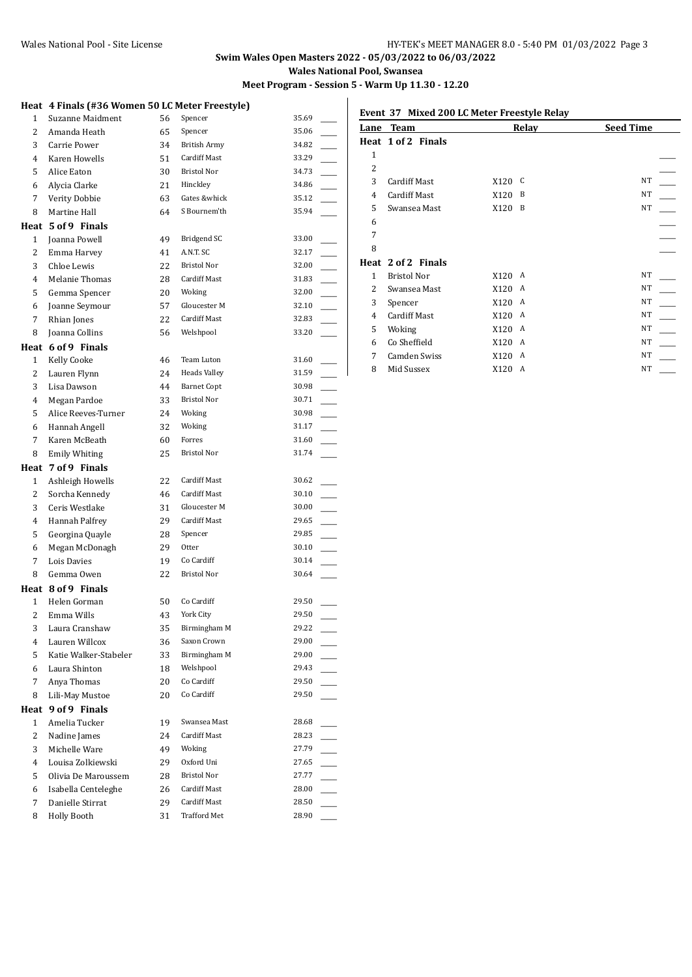# **Swim Wales Open Masters 2022 - 05/03/2022 to 06/03/2022 Wales National Pool, Swansea**

**Meet Program - Session 5 - Warm Up 11.30 - 12.20**

|                | Heat 4 Finals (#36 Women 50 LC Meter Freestyle) |    |                     |       |
|----------------|-------------------------------------------------|----|---------------------|-------|
| $\mathbf{1}$   | Suzanne Maidment                                | 56 | Spencer             | 35.69 |
| $\overline{2}$ | Amanda Heath                                    | 65 | Spencer             | 35.06 |
| 3              | Carrie Power                                    | 34 | <b>British Army</b> | 34.82 |
| 4              | Karen Howells                                   | 51 | <b>Cardiff Mast</b> | 33.29 |
| 5              | Alice Eaton                                     | 30 | <b>Bristol Nor</b>  | 34.73 |
| 6              | Alycia Clarke                                   | 21 | Hinckley            | 34.86 |
| 7              | Verity Dobbie                                   | 63 | Gates &whick        | 35.12 |
| 8              | Martine Hall                                    | 64 | S Bournem'th        | 35.94 |
|                | Heat 5 of 9 Finals                              |    |                     |       |
| $\mathbf{1}$   | Joanna Powell                                   | 49 | <b>Bridgend SC</b>  | 33.00 |
| $\overline{2}$ | Emma Harvey                                     | 41 | A.N.T. SC           | 32.17 |
| 3              | Chloe Lewis                                     | 22 | <b>Bristol Nor</b>  | 32.00 |
| $\overline{4}$ | Melanie Thomas                                  | 28 | Cardiff Mast        | 31.83 |
| 5              | Gemma Spencer                                   | 20 | Woking              | 32.00 |
| 6              | Joanne Seymour                                  | 57 | Gloucester M        | 32.10 |
| 7              | Rhian Jones                                     | 22 | Cardiff Mast        | 32.83 |
| 8              | Joanna Collins                                  | 56 | Welshpool           | 33.20 |
|                | Heat 6 of 9 Finals                              |    |                     |       |
| $\mathbf{1}$   | <b>Kelly Cooke</b>                              | 46 | Team Luton          | 31.60 |
| $\overline{2}$ | Lauren Flynn                                    | 24 | <b>Heads Valley</b> | 31.59 |
| 3              | Lisa Dawson                                     | 44 | <b>Barnet Copt</b>  | 30.98 |
| $\overline{4}$ | Megan Pardoe                                    | 33 | <b>Bristol Nor</b>  | 30.71 |
| 5              | Alice Reeves-Turner                             | 24 | Woking              | 30.98 |
| 6              | Hannah Angell                                   | 32 | Woking              | 31.17 |
| 7              | Karen McBeath                                   | 60 | Forres              | 31.60 |
| 8              | <b>Emily Whiting</b>                            | 25 | Bristol Nor         | 31.74 |
|                | Heat 7 of 9 Finals                              |    |                     |       |
| $\mathbf{1}$   | Ashleigh Howells                                | 22 | <b>Cardiff Mast</b> | 30.62 |
| 2              | Sorcha Kennedy                                  | 46 | <b>Cardiff Mast</b> | 30.10 |
| 3              | Ceris Westlake                                  | 31 | Gloucester M        | 30.00 |
| 4              | Hannah Palfrey                                  | 29 | <b>Cardiff Mast</b> | 29.65 |
| 5              | Georgina Quayle                                 | 28 | Spencer             | 29.85 |
| 6              | Megan McDonagh                                  | 29 | Otter               | 30.10 |
| 7              | Lois Davies                                     | 19 | Co Cardiff          | 30.14 |
| 8              | Gemma Owen                                      | 22 | <b>Bristol Nor</b>  | 30.64 |
|                | Heat 8 of 9 Finals                              |    |                     |       |
| $\mathbf{1}$   | Helen Gorman                                    | 50 | Co Cardiff          | 29.50 |
| 2              | Emma Wills                                      | 43 | York City           | 29.50 |
| 3              | Laura Cranshaw                                  | 35 | Birmingham M        | 29.22 |
| 4              | Lauren Willcox                                  | 36 | Saxon Crown         | 29.00 |
| 5              | Katie Walker-Stabeler                           | 33 | Birmingham M        | 29.00 |
| 6              | Laura Shinton                                   | 18 | Welshpool           | 29.43 |
| 7              | Anya Thomas                                     | 20 | Co Cardiff          | 29.50 |
| 8              | Lili-May Mustoe                                 | 20 | Co Cardiff          | 29.50 |
| Heat           | 9 of 9 Finals                                   |    |                     |       |
| 1              | Amelia Tucker                                   | 19 | Swansea Mast        | 28.68 |
| 2              | Nadine James                                    | 24 | Cardiff Mast        | 28.23 |
| 3              | Michelle Ware                                   | 49 | Woking              | 27.79 |
| $\overline{4}$ | Louisa Zolkiewski                               | 29 | Oxford Uni          | 27.65 |
| 5              | Olivia De Maroussem                             | 28 | Bristol Nor         | 27.77 |
| 6              | Isabella Centeleghe                             | 26 | Cardiff Mast        | 28.00 |
| 7              | Danielle Stirrat                                | 29 | Cardiff Mast        | 28.50 |
| 8              | Holly Booth                                     | 31 | <b>Trafford Met</b> | 28.90 |

#### **Event 37 Mixed 200 LC Meter Freestyle Relay**

| Lane          | <b>Team</b>         | Relay     | <b>Seed Time</b> |
|---------------|---------------------|-----------|------------------|
|               | Heat 1 of 2 Finals  |           |                  |
| $\mathbf{1}$  |                     |           |                  |
| 2             |                     |           |                  |
| 3             | <b>Cardiff Mast</b> | X120 C    | <b>NT</b>        |
| 4             | <b>Cardiff Mast</b> | B<br>X120 | NT               |
| 5             | Swansea Mast        | B<br>X120 | NT               |
| 6             |                     |           |                  |
| 7             |                     |           |                  |
| 8             |                     |           |                  |
|               | Heat 2 of 2 Finals  |           |                  |
| $\mathbf{1}$  | Bristol Nor         | X120<br>A | <b>NT</b>        |
| $\mathcal{L}$ | Swansea Mast        | X120<br>A | <b>NT</b>        |
| 3             | Spencer             | X120<br>A | <b>NT</b>        |
| 4             | <b>Cardiff Mast</b> | X120<br>A | <b>NT</b>        |
| 5             | Woking              | X120<br>A | NT               |
| 6             | Co Sheffield        | X120<br>A | NT               |
| 7             | Camden Swiss        | X120<br>A | NT               |
| 8             | Mid Sussex          | X120<br>A | NT               |